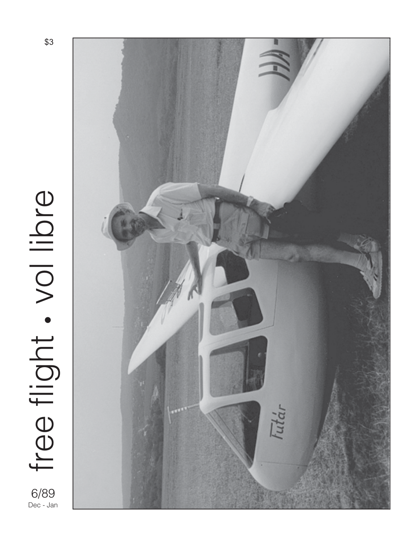# free flight. vol libre free flight. vol libre 6/89 Dec - Jan



\$3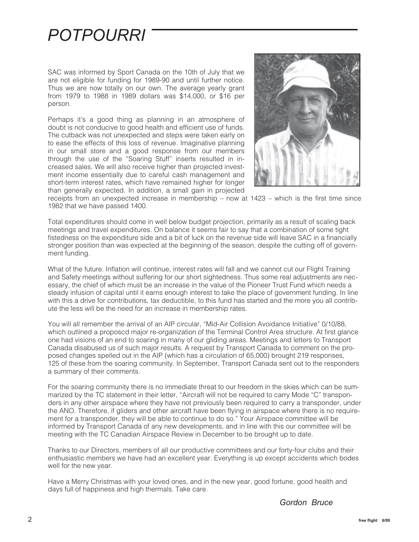### *POTPOURRI*

SAC was informed by Sport Canada on the 10th of July that we are not eligible for funding for 1989-90 and until further notice. Thus we are now totally on our own. The average yearly grant from 1979 to 1988 in 1989 dollars was \$14,000, or \$16 per person.

Perhaps it's a good thing as planning in an atmosphere of doubt is not conducive to good health and efficient use of funds. The cutback was not unexpected and steps were taken early on to ease the effects of this loss of revenue. Imaginative planning in our small store and a good response from our members through the use of the "Soaring Stuff" inserts resulted in increased sales. We will also receive higher than projected investment income essentially due to careful cash management and short-term interest rates, which have remained higher for longer than generally expected. In addition, a small gain in projected



receipts from an unexpected increase in membership – now at 1423 – which is the first time since 1982 that we have passed 1400.

Total expenditures should come in well below budget projection, primarily as a result of scaling back meetings and travel expenditures. On balance it seems fair to say that a combination of some tight fistedness on the expenditure side and a bit of luck on the revenue side will leave SAC in a financially stronger position than was expected at the beginning of the season, despite the cutting off of government funding.

What of the future. Inflation will continue, interest rates will fall and we cannot cut our Flight Training and Safety meetings without suffering for our short sightedness. Thus some real adjustments are necessary, the chief of which must be an increase in the value of the Pioneer Trust Fund which needs a steady infusion of capital until it earns enough interest to take the place of government funding. In line with this a drive for contributions, tax deductible, to this fund has started and the more you all contribute the less will be the need for an increase in membership rates.

You will all remember the arrival of an AIP circular, "Mid-Air Collision Avoidance Initiative" 0/10/88, which outlined a proposcd major re-organization of the Terminal Control Area structure. At first glance one had visions of an end to soaring in many of our gliding areas. Meetings and letters to Transport Canada disabused us of such major results. A request by Transport Canada to comment on the proposed changes spelled out in the AIP (which has a circulation of 65,000) brought 219 responses, 125 of these from the soaring community. In September, Transport Canada sent out to the responders a summary of their comments.

For the soaring community there is no immediate threat to our freedom in the skies which can be summarized by the TC statement in their letter, "Aircraft will not be required to carry Mode "C" transponders in any other airspace where they have not previously been required to carry a transponder, under the ANO. Therefore, if gliders and other aircraft have been flying in airspace where there is no requirement for a transponder, they will be able to continue to do so." Your Airspace committee will be informed by Transport Canada of any new developments, and in line with this our committee will be meeting with the TC Canadian Airspace Review in December to be brought up to date.

Thanks to our Directors, members of all our productive committees and our forty-four clubs and their enthusiastic members we have had an excellent year. Everything is up except accidents which bodes well for the new year.

Have a Merry Christmas with your loved ones, and in the new year, good fortune, good health and days full of happiness and high thermals. Take care.

*Gordon Bruce*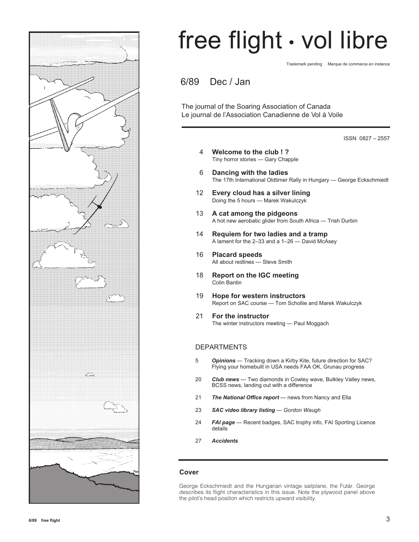

# free flight • vol libre

Trademark pending Marque de commerce en instance

6/89 Dec / Jan

The journal of the Soaring Association of Canada Le journal de l'Association Canadienne de Vol à Voile

ISSN 0827 – 2557

- 4 **Welcome to the club ! ?** Tiny horror stories — Gary Chapple
- 6 **Dancing with the ladies** The 17th International Oldtimer Rally in Hungary — George Eckschmiedt
- 12 **Every cloud has a silver lining** Doing the 5 hours — Marek Wakulczyk
- 13 **A cat among the pidgeons** A hot new aerobatic glider from South Africa — Trish Durbin
- 14 **Requiem for two ladies and a tramp** A lament for the 2–33 and a 1–26 — David McAsey
- 16 **Placard speeds** All about redlines — Steve Smith
- 18 **Report on the IGC meeting** Colin Bantin
- 19 **Hope for western instructors** Report on SAC course — Tom Schollie and Marek Wakulczyk
- 21 **For the instructor** The winter instructors meeting — Paul Moggach

### DEPARTMENTS

- 5 *Opinions* Tracking down a Kirby Kite, future direction for SAC? Flying your homebuilt in USA needs FAA OK, Grunau progress
- 20 *Club news*  Two diamonds in Cowley wave, Bulkley Valley news, BCSS news, landing out with a difference
- 21 *The National Office report* news from Nancy and Ella
- 23 *SAC video library listing Gordon Waugh*
- 24 *FAI page* Recent badges, SAC trophy info, FAI Sporting Licence details
- 27 *Accidents*

#### **Cover**

George Eckschmiedt and the Hungarian vintage sailplane, the Futár. George describes its flight characteristics in this issue. Note the plywood panel above the pilot's head position which restricts upward visibility.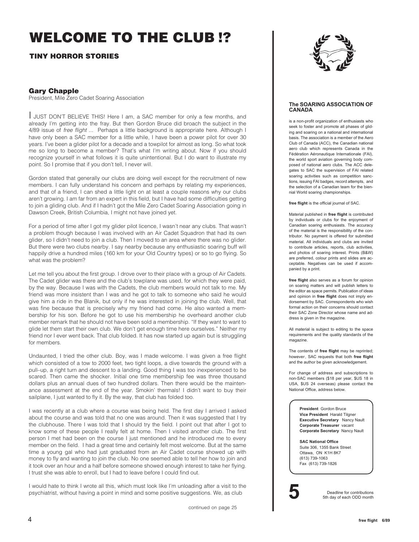### **WELCOME TO THE CLUB !?**

### **TINY HORROR STORIES**

### **Gary Chapple**

President, Mile Zero Cadet Soaring Association

I JUST DON'T BELIEVE THIS! Here I am, a SAC member for only a few months, and already I'm getting into the fray. But then Gordon Bruce did broach the subject in the 4/89 issue of free flight ... Perhaps a little background is appropriate here. Although I have only been a SAC member for a little while, I have been a power pilot for over 30 years. I've been a glider pilot for a decade and a towpilot for almost as long. So what took me so long to become a member? That's what I'm writing about. Now if you should recognize yourself in what follows it is quite unintentional. But I do want to illustrate my point. So I promise that if you don't tell, I never will.

Gordon stated that generally our clubs are doing well except for the recruitment of new members. I can fully understand his concern and perhaps by relating my experiences, and that of a friend, I can shed a little light on at least a couple reasons why our clubs aren't growing. I am far from an expert in this field, but I have had some difficulties getting to join a gliding club. And if I hadn't got the Mile Zero Cadet Soaring Association going in Dawson Creek, British Columbia, I might not have joined yet.

For a period of time after I got my glider pilot licence, I wasn't near any clubs. That wasn't a problem though because I was involved with an Air Cadet Squadron that had its own glider, so I didn't need to join a club. Then I moved to an area where there was no glider. But there were two clubs nearby. I say nearby because any enthusiastic soaring buff will happily drive a hundred miles (160 km for your Old Country types) or so to go flying. So what was the problem?

Let me tell you about the first group. I drove over to their place with a group of Air Cadets. The Cadet glider was there and the club's towplane was used, for which they were paid, by the way. Because I was with the Cadets, the club members would not talk to me. My friend was more insistent than I was and he got to talk to someone who said he would give him a ride in the Blanik, but only if he was interested in joining the club. Well, that was fine because that is precisely why my friend had come. He also wanted a membership for his son. Before he got to use his membership he overheard another club member remark that he should not have been sold a membership. "If they want to want to glide let them start their own club. We don't get enough time here ourselves." Neither my friend nor I ever went back. That club folded. It has now started up again but is struggling for members.

Undaunted, I tried the other club. Boy, was I made welcome. I was given a free flight which consisted of a tow to 2000 feet, two tight loops, a dive towards the ground with a pull–up, a right turn and descent to a landing. Good thing I was too inexperienced to be scared. Then came the shocker. Initial one time membership fee was three thousand dollars plus an annual dues of two hundred dollars. Then there would be the maintenance assessment at the end of the year. Smokin' thermals! I didn't want to buy their sailplane, I just wanted to fly it. By the way, that club has folded too.

I was recently at a club where a course was being held. The first day I arrived I asked about the course and was told that no one was around. Then it was suggested that I try the clubhouse. There I was told that I should try the field. I point out that after I got to know some of these people I really felt at home. Then I visited another club. The first person I met had been on the course I just mentioned and he introduced me to every member on the field. I had a great time and certainly felt most welcome. But at the same time a young gal who had just graduated from an Air Cadet course showed up with money to fly and wanting to join the club. No one seemed able to tell her how to join and it took over an hour and a half before someone showed enough interest to take her flying. I trust she was able to enroll, but I had to leave before I could find out.

I would hate to think I wrote all this, which must look like I'm unloading after a visit to the psychiatrist, without having a point in mind and some positive suggestions. We, as club



#### **The SOARING ASSOCIATION OF CANADA**

is a non-profit organization of enthusiasts who seek to foster and promote all phases of gliding and soaring on a national and international basis. The association is a member of the Aero Club of Canada (ACC), the Canadian national aero club which represents Canada in the Fédération Aéronautique Internationale (FAI), the world sport aviation governing body composed of national aero clubs. The ACC delegates to SAC the supervision of FAI related soaring activities such as competition sanctions, issuing FAI badges, record attempts, and the selection of a Canadian team for the biennial World soaring championships.

**free flight** is the official journal of SAC.

Material published in **free flight** is contributed by individuals or clubs for the enjoyment of Canadian soaring enthusiasts. The accuracy of the material is the responsibility of the contributor. No payment is offered for submitted material. All individuals and clubs are invited to contribute articles, reports, club activities, and photos of soaring interest. Prints (B&W) are preferred, colour prints and slides are acceptable. Negatives can be used if accompanied by a print.

**free flight** also serves as a forum for opinion on soaring matters and will publish letters to the editor as space permits. Publication of ideas and opinion in **free flight** does not imply endorsement by SAC. Correspondents who wish formal action on their concerns should contact their SAC Zone Director whose name and address is given in the magazine.

All material is subject to editing to the space requirements and the quality standards of the magazine.

The contents of **free flight** may be reprinted; however, SAC requests that both **free flight** and the author be given acknowledgement.

For change of address and subscriptions to non-SAC members (\$18 per year, \$US 18 in USA, \$US 24 overseas) please contact the National Office, address below.

> **President** Gordon Bruce **Vice President** Harald Tilgner **Executive Secretary** Nancy Nault **Corporate Treasurer** vacant **Corporate Secretary** Nancy Nault

**SAC National Office** Suite 306, 1355 Bank Street Ottawa, ON K1H 8K7 (613) 739-1063 Fax (613) 739-1826

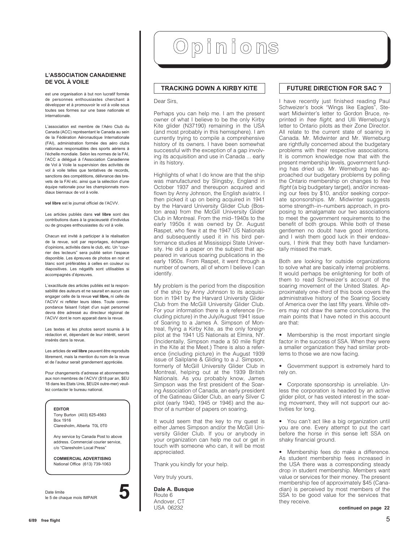#### **L'ASSOCIATION CANADIENNE DE VOL À VOILE**

est une organisation à but non lucratif formée de personnes enthousiastes cherchant à développer et à promouvoir le vol à voile sous toutes ses formes sur une base nationale et internationale.

L'association est membre de l'Aéro Club du Canada (ACC) représentant le Canada au sein de la Fédération Aéronautique Internationale (FAI), administration formée des aéro clubs nationaux responsables des sports aériens à l'échelle mondiale. Selon les normes de la FAI, l'ACC a délégué à l'Association Canadienne de Vol à Voile la supervision des activités de vol à voile telles que tentatives de records, sanctions des compétitions, délivrance des brevets de la FAI etc. ainsi que la sélection d'une équipe nationale pour les championnats mondiaux biennaux de vol à voile.

**vol libre** est le journal officiel de l'ACVV.

Les articles publiés dans **vol libre** sont des contributions dues à la gracieuseté d'individus ou de groupes enthousiastes du vol à voile.

Chacun est invité à participer à la réalisation de la revue, soit par reportages, échanges d'opinions, activités dans le club, etc. Un "courrier des lecteurs" sera publié selon l'espace disponible. Les épreuves de photos en noir et blanc sont préférables à celles en couleur ou diapositives. Les négatifs sont utilisables si accompagnés d'épreuves.

L'exactitude des articles publiés est la responsabilité des auteurs et ne saurait en aucun cas engager celle de la revue **vol libre,** ni celle de l'ACVV ni refléter leurs idées. Toute correspondance faisant l'objet d'un sujet personnel devra être adressé au directeur régional de l'ACVV dont le nom apparait dans la revue.

Les textes et les photos seront soumis à la rédaction et, dépendant de leur intérêt, seront insérés dans la revue.

Les articles de **vol libre** peuvent être reproduits librement, mais la mention du nom de la revue et de l'auteur serait grandement appréciée.

Pour changements d'adresse et abonnements aux non membres de l'ACVV (\$18 par an, \$EU 18 dans les Etats Unis, \$EU24 outre-mer) veuillez contacter le bureau national.

#### **EDITOR**

Tony Burton (403) 625-4563 Box 1916 Claresholm, Alberta T0L 0T0

Any service by Canada Post to above address. Commercial courier service, c/o "Claresholm Local Press"

**COMMERCIAL ADVERTISING** National Office (613) 739-1063

Date limite le 5 de chaque mois IMPAIR **5**



### **TRACKING DOWN A KIRBY KITE**

Dear Sirs,

Perhaps you can help me. I am the present owner of what I believe to be the only Kirby Kite glider (N37190) remaining in the USA (and most probably in this hemisphere). I am currently trying to compile a comprehensive history of its owners. I have been somewhat successful with the exception of a gap involving its acquisition and use in Canada ... early in its history.

Highlights of what I do know are that the ship was manufactured by Slingsby, England in October 1937 and thereupon acquired and flown by Anny Johnson, the English aviatrix. I then picked it up on being acquired in 1941 by the Harvard University Glider Club (Boston area) from the McGill University Glider Club in Montreal. From the mid–1940s to the early 1950s it was owned by Dr. August Raspet, who flew it at the 1947 US Nationals and subsequently used it in his bird performance studies at Mississippi State University. He did a paper on the subject that appeared in various soaring publications in the early 1950s. From Raspet, it went through a number of owners, all of whom I believe I can identify.

My problem is the period from the disposition of the ship by Anny Johnson to its acquisition in 1941 by the Harvard University Glider Club from the McGill University Glider Club. For your information there is a reference (including picture) in the July/August 1941 issue of Soaring to a James A. Simpson of Montreal, flying a Kirby Kite, as the only foreign pilot at the 1941 US Nationals at Elmira, NY. (Incidentally, Simpson made a 50 mile flight in the Kite at the Meet.) There is also a reference (including picture) in the August 1939 issue of Sailplane & Gliding to a J. Simpson, formerly of McGill University Glider Club in Montreal, helping out at the 1939 British Nationals. As you probably know, James Simpson was the first president of the Soaring Association of Canada, an early president of the Gatineau Glider Club, an early Silver C pilot (early 1940, 1945 or 1946) and the author of a number of papers on soaring.

It would seem that the key to my quest is either James Simpson and/or the McGill University Glider Club. If you or anybody in your organization can help me out or get in touch with someone who can, it will be most appreciated.

Thank you kindly for your help.

Very truly yours,

**Dale A. Busque**

Route 6 Andover, CT USA 06232

### **FUTURE DIRECTION FOR SAC ?**

I have recently just finished reading Paul Schweizer's book "Wings like Eagles", Stewart Midwinter's letter to Gordon Bruce, reprinted in free flight, and Ulli Werneburg's letter to Ontario pilots as their Zone Director. All relate to the current state of soaring in Canada. Mr. Midwinter and Mr. Werneburg are rightfully concerned about the budgetary problems with their respective associations. It is common knowledge now that with the present membership levels, government funding has dried up. Mr. Werneburg has approached our budgetary problems by polling the Ontario membership on changes to free flight (a big budgetary target), and/or increasing our fees by \$10, and/or seeking corporate sponsorships. Mr. Midwinter suggests some strength–in–numbers approach, in proposing to amalgamate our two associations to meet the government requirements to the benefit of both groups. While both of these gentlemen no doubt have good intentions, and I wish them good luck in their endeavours, I think that they both have fundamentally missed the mark.

Both are looking for outside organizations to solve what are basically internal problems. It would perhaps be enlightening for both of them to read Schweizer's account of the soaring movement of the United States. Approximately one–third of this book covers the administrative history of the Soaring Society of America over the last fifty years. While others may not draw the same conclusions, the main points that I have noted in this account are that:

• Membership is the most important single factor in the success of SSA. When they were a smaller organization they had similar problems to those we are now facing.

• Government support is extremely hard to rely on.

• Corporate sponsorship is unreliable. Unless the corporation is headed by an active glider pilot, or has vested interest in the soaring movement, they will not support our activities for long.

• You can't act like a big organization until you are one. Every attempt to put the cart before the horse in this sense left SSA on shaky financial ground.

• Membership fees do make a difference. As student membership fees increased in the USA there was a corresponding steady drop in student membership. Members want value or services for their money. The present membership fee of approximately \$45 (Canadian) is perceived by most members of the SSA to be good value for the services that they receive.

**continued on page 22**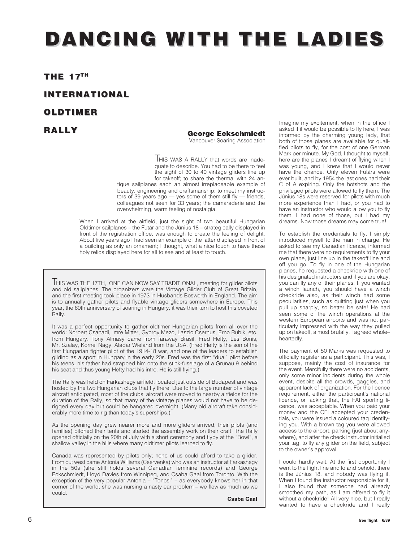## **DANCING DANCING WITH THE LADIES**

### **THE 17TH**

### **INTERNATIONAL INTERNATIONAL**

### **OLDTIMER OLDTIMER**

### **RALLY**

### **George Eckschmiedt**

Vancouver Soaring Association

**HIS WAS A RALLY that words are inade**quate to describe. You had to be there to feel the sight of 30 to 40 vintage gliders line up for takeoff; to share the thermal with 24 antique sailplanes each an almost irreplaceable example of beauty, engineering and craftsmanship; to meet my instructors of 39 years  $aqo$  — yes some of them still fly — friends, colleagues not seen for 33 years; the camaraderie and the overwhelming, warm feeling of nostalgia.

When I arrived at the airfield, just the sight of two beautiful Hungarian Oldtimer sailplanes – the Futár and the Június 18 – strategically displayed in front of the registration office, was enough to create the feeling of delight. About five years ago I had seen an example of the latter displayed in front of a building as only an ornament; I thought, what a nice touch to have these holy relics displayed here for all to see and at least to touch.

THIS WAS THE 17TH, ONE CAN NOW SAY TRADITIONAL, meeting for glider pilots and old sailplanes. The organizers were the Vintage Glider Club of Great Britain, and the first meeting took place in 1973 in Husbands Bosworth in England. The aim is to annually gather pilots and flyable vintage gliders somewhere in Europe. This year, the 60th anniversary of soaring in Hungary, it was their turn to host this coveted Rally.

It was a perfect opportunity to gather oldtimer Hungarian pilots from all over the world: Norbert Csanadi, Imre Mitter, Gyorgy Mezo, Laszlo Csernus, Erno Rubik, etc. from Hungary. Tony Almasy came from faraway Brasil, Fred Hefty, Les Bonis, Mr. Szalay, Kornel Nagy, Aladar Wieland from the USA. (Fred Hefty is the son of the first Hungarian fighter pilot of the 1914-18 war, and one of the leaders to establish gliding as a sport in Hungary in the early 20s. Fred was the first "dual" pilot before his teens, his father had strapped him onto the stick-fuselage of a Grunau 9 behind his seat and thus young Hefty had his intro. He is still flying.)

The Rally was held on Farkashegy airfield, located just outside of Budapest and was hosted by the two Hungarian clubs that fly there. Due to the large number of vintage aircraft anticipated, most of the clubs' aircraft were moved to nearby airfields for the duration of the Rally, so that many of the vintage planes would not have to be derigged every day but could be hangared overnight. (Many old aircraft take considerably more time to rig than today's superships.)

As the opening day grew nearer more and more gliders arrived, their pilots (and families) pitched their tents and started the assembly work on their craft. The Rally opened officially on the 20th of July with a short ceremony and flyby at the "Bowl", a shallow valley in the hills where many oldtimer pilots learned to fly.

Canada was represented by pilots only; none of us could afford to take a glider. From out west came Antonia Williams (Cservenka) who was an instructor at Farkashegy in the 50s (she still holds several Canadian feminine records) and George Eckschmiedt, Lloyd Davies from Winnipeg, and Csaba Gaal from Toronto. With the exception of the very popular Antonia – "Toncsi" – as everybody knows her in that corner of the world, she was nursing a nasty ear problem – we flew as much as we could.

**Csaba Gaal**

Imagine my excitement, when in the office I asked if it would be possible to fly here, I was informed by the charming young lady, that both of those planes are available for qualified pilots to fly, for the cost of one German Mark per minute. My God, I thought to myself, here are the planes I dreamt of flying when I was young, and I knew that I would never have the chance. Only eleven Futárs were ever built, and by 1954 the last ones had their C of A expiring. Only the hotshots and the privileged pilots were allowed to fly them. The Június 18s were reserved for pilots with much more experience than I had, or you had to have an instructor who would allow you to fly them. I had none of those, but I had my dreams. Now those dreams may come true!

To establish the credentials to fly, I simply introduced myself to the man in charge. He asked to see my Canadian licence, informed me that there were no requirements to fly your own plane, just line up in the takeoff line and off you go. To fly in one of the Hungarian planes, he requested a checkride with one of his designated instructors and if you are okay, you can fly any of their planes. If you wanted a winch launch, you should have a winch checkride also, as their winch had some peculiarities, such as quitting just when you pull up sharply, so better be safe! He had seen some of the winch operations at the western European airports and was not particularly impressed with the way they pulled up on takeoff, almost brutally. I agreed whole– heartedly.

The payment of 50 Marks was requested to officially register as a participant. This was, I suppose, mainly the cost of insurance for the event. Mercifully there were no accidents, only some minor incidents during the whole event, despite all the crowds, gaggles, and apparent lack of organization. For the licence requirement, either the participant's national licence, or lacking that, the FAI sporting licence, was acceptable. When you paid your money and the CFI accepted your credentials, you were issued a coloured tag identifying you. With a brown tag you were allowed access to the airport, parking (just about anywhere), and after the check instructor initialled your tag, to fly any glider on the field, subject to the owner's approval.

I could hardly wait. At the first opportunity I went to the flight line and lo and behold, there is the Június 18, and nobody was flying it. When I found the instructor responsible for it, I also found that someone had already smoothed my path, as I am offered to fly it without a checkride! All very nice, but I really wanted to have a checkride and I really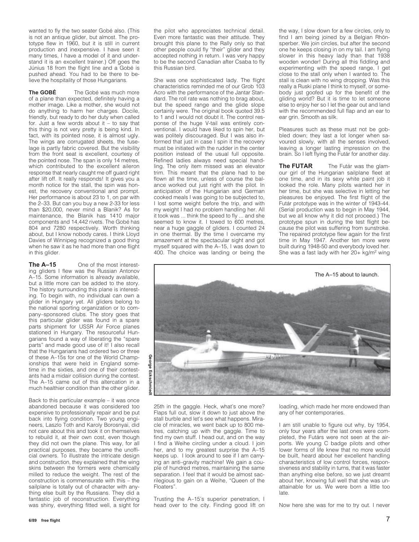wanted to fly the two seater Gobé also. (This is not an antique glider, but almost. The prototype flew in 1960, but it is still in current production and inexpensive. I have seen it many times, I have a model of it and understand it is an excellent trainer.) Off goes the Június 18 from the flight line and a Gobé is pushed ahead. You had to be there to believe the hospitality of those Hungarians.

**The GOBÉ** The Gobé was much more of a plane than expected, definitely having a mother image. Like a mother, she would not do anything to harm her charges. Docile, friendly, but ready to do her duty when called for. Just a few words about it – to say that this thing is not very pretty is being kind. In fact, with its pointed nose, it is almost ugly. The wings are corrugated sheets, the fuselage is partly fabric covered. But the visibility from the front seat is excellent, courtesy of the pointed nose. The span is only 14 metres, which contributed to the excellent aileron response that nearly caught me off guard right after lift off. It really responds! It gives you a month notice for the stall, the spin was honest, the recovery conventional and prompt. Her performance is about 23 to 1, on par with the 2–33. But can you buy a new 2-33 for less than \$20,000, never mind a Blanik? As for maintenance, the Blanik has 1410 major components and 14,442 rivets. The Gobé has 804 and 7280 respectively. Worth thinking about, but I know nobody cares. I think Lloyd Davies of Winnipeg recognized a good thing when he saw it as he had more than one flight in this alider.

**The A–15** One of the most interesting gliders I flew was the Russian Antonov A–15. Some information is already available, but a little more can be added to the story. The history surrounding this plane is interesting. To begin with, no individual can own a glider in Hungary yet. All gliders belong to the national sporting organization or to company–sponsored clubs. The story goes that this particular glider was found in a spare parts shipment for USSR Air Force planes stationed in Hungary. The resourceful Hungarians found a way of liberating the "spare parts" and made good use of it! I also recall that the Hungarians had ordered two or three of these A–15s for one of the World Championships that were held in England sometime in the sixties, and one of their contestants had a midair collision during the contest. The A–15 came out of this altercation in a much healthier condition than the other glider.

Back to this particular example – it was once abandoned because it was considered too expensive to professionally repair and be put back into flying condition. Two young engineers, Laszlo Toth and Karoly Borosnyai, did not care about this and took it on themselves to rebuild it, at their own cost, even though they did not own the plane. This way, for all practical purposes, they became the unofficial owners. To illustrate the intricate design and construction, they explained that the wing skins between the formers were chemically milled to reduce the weight. The rest of the construction is commensurate with this – the sailplane is totally out of character with anything else built by the Russians. They did a fantastic job of reconstruction. Everything was shiny, everything fitted well, a sight for

the pilot who appreciates technical detail. Even more fantastic was their attitude. They brought this plane to the Rally only so that other people could fly "their" glider and they accepted nothing in return. I was very happy to be the second Canadian after Csaba to fly this Russian bird.

She was one sophisticated lady. The flight characteristics reminded me of our Grob 103 Acro with the performance of the Jantar Standard. The roll rate was nothing to brag about, but the speed range and the glide slope certainly were. The original book quoted 39.5 to 1 and I would not doubt it. The control response of the huge V-tail was entirely conventional. I would have liked to spin her, but was politely discouraged. But I was also informed that just in case I spin it the recovery must be initiated with the rudder in the center position instead of the usual full opposite. Refined ladies always need special handling. The only item missed was an elevator trim. This meant that the plane had to be flown all the time, unless of course the balance worked out just right with the pilot. In anticipation of the Hungarian and German cooked meals I was going to be subjected to, I lost some weight before the trip, and with my weight I had no problem handling her. All it took was ... think the speed to fly ... and she seemed to know it. I towed to 600 metres, near a huge gaggle of gliders. I counted 24 in one thermal. By the time I overcame my amazement at the spectacular sight and got myself squared with the A–15, I was down to 400. The choice was landing or being the

the way, I slow down for a few circles, only to find I am being joined by a Belgian Rhönsperber. We join circles, but after the second one he keeps closing in on my tail. I am flying slower in this heavy lady than that 1938 wooden wonder! During all this fiddling and experimenting with the speed range, I get close to the stall only when I wanted to. The stall is clean with no wing dropping. Was this really a Ruski plane I think to myself, or somebody just goofed up for the benefit of the gliding world? But it is time to let someone else to enjoy her so I let the gear out and land with the recommended full flap and an ear to ear grin. Smooth as silk.

Pleasures such as these must not be gobbled down; they last a lot longer when savoured slowly, with all the senses involved, leaving a longer lasting impression on the brain. So I left flying the Futár for another day.

**The FUTAR** The Futár was the glamour girl of the Hungarian sailplane fleet at one time, and in its sexy white paint job it looked the role. Many pilots wanted her in her time, but she was selective in letting her pleasures be enjoyed. The first flight of the Futár prototype was in the winter of 1943-44. (Serial production was to begin in May 1944, but we all know why it did not proceed.) The prototype spun in during the test flight because the pilot was suffering from sunstroke. The repaired prototype flew again for the first time in May 1947. Another ten more were built during 1948-50 and everybody loved her. She was a fast lady with her  $20+$  kg/m<sup>2</sup> wing



25th in the gaggle. Heck, what's one more? Flaps full out, slow it down to just above the stall burble and let's see what happens. Miracle of miracles, we went back up to 800 metres, catching up with the gaggle. Time to find my own stuff. I head out, and on the way I find a Weihe circling under a cloud. I join her, and to my greatest surprise the A–15 keeps up. I look around to see if I am carrying an anti–gravity machine! We gain a couple of hundred metres, maintaining the same separation. I feel that it would be almost sacrilegious to gain on a Weihe, "Queen of the Floaters".

Trusting the A–15's superior penetration, I head over to the city. Finding good lift on loading, which made her more endowed than any of her contemporaries.

I am still unable to figure out why, by 1954, only four years after the last ones were completed, the Futárs were not seen at the airports. We young C badge pilots and other lower forms of life knew that no more would be built, heard about her excellent handling characteristics of low control forces, responsiveness and stability in turns, that it was faster than anything else before, so we just dreamt about her, knowing full well that she was unattainable for us. We were born a little too late.

Now here she was for me to try out. I never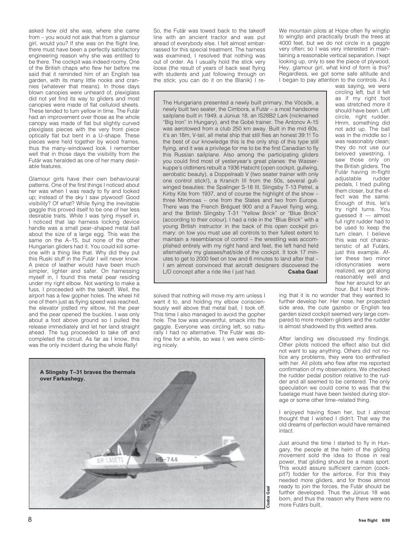asked how old she was, where she came from – you would not ask that from a glamour girl, would you? If she was on the flight line, there must have been a perfectly satisfactory engineering reason why she was entitled to be there. The cockpit was indeed roomy. One of the British chaps who flew her before me said that it reminded him of an English tea garden, with its many little nooks and crannies (whatever that means). In those days blown canopies were unheard of, plexiglass did not yet find its way to gliders and most canopies were made of flat celluloid sheets. These tended to turn yellow in time. The Futár had an improvement over those as the whole canopy was made of flat but slightly curved plexiglass pieces with the very front piece optically flat but bent in a U–shape. These pieces were held together by wood frames, thus the many–windowed look. I remember well that in those days the visibility from the Futár was heralded as one of her many desirable features.

Glamour girls have their own behavioural patterns. One of the first things I noticed about her was when I was ready to fly and looked up; instead of the sky I saw plywood! Good visibility? Of what? While flying the inevitable gaggle this proved itself to be one of her less desirable traits. While I was tying myself in, I noticed that lap harness locking device handle was a small pear–shaped metal ball about the size of a large egg. This was the same on the A–15, but none of the other Hungarian gliders had it. You could kill someone with a thing like that. Why did they put this Ruski stuff in the Futár I will never know. A piece of leather would have been much simpler, lighter and safer. On harnessing myself in, I found this metal pear residing under my right elbow. Not wanting to make a fuss, I proceeded with the takeoff. Well, the airport has a few gopher holes. The wheel hit one of them just as flying speed was reached, the elevator jostled my elbow, hit the pear and the pear opened the buckles. I was only about a foot above ground so I pulled the release immediately and let her land straight ahead. The tug proceeded to take off and completed the circuit. As far as I know, this was the only incident during the whole Rally!

So, the Futár was towed back to the takeoff line with an ancient tractor and was put ahead of everybody else. I felt almost embarrassed for this special treatment. The harness was examined, I resolved that nothing was out of order. As I usually hold the stick very loose (the result of years of back seat flying with students and just following through on the stick; you can do it on the Blanik) I reWe mountain pilots at Hope often fly wingtip to wingtip and practically brush the trees at 4000 feet, but we do not circle in a gaggle very often; so I was very interested in maintaining a reasonable vertical separation. I kept looking up, only to see the piece of plywood. Hey, glamour girl, what kind of form is this? Regardless, we got some safe altitude and I began to pay attention to the controls. As I

The Hungarians presented a newly built primary, the Vöcsök, a newly built two seater, the Cimbora, a Futár – a most handsome sailplane built in 1949, a Június 18, an IS28B2 Lark (nicknamed "Big Iron" in Hungary), and the Gobé trainer. The Antonov A-15 was aerotowed from a club 250 km away. Built in the mid 60s, it's an 18m, V-tail, all metal ship that still flies an honest 39:1! To the best of our knowledge this is the only ship of this type still flying, and it was a privilege for me to be the first Canadian to fly this Russian sailplane. Also among the participating gliders you could find most of yesteryear's great planes: the Wasserkuppe's oldtimers rebuilt a 1936 Habicht (open cockpit, gullwing, aerobatic beauty), a Doppelraab V (two seater trainer with only one control stick!), a Kranich III from the 50s, several gullwinged beauties: the Spalinger S-18 III, Slingsby T-13 Petrel, a Kirby Kite from 1937, and of course the highlight of the show – three Minimoas – one from the States and two from Europe. There was the French Bréguet 900 and a Fauvel flying wing, and the British Slingsby T-31 "Yellow Brick" or "Blue Brick" (according to their colour). I had a ride in the "Blue Brick" with a young British instructor in the back of this open cockpit primary: on tow you must use all controls to their fullest extent to maintain a resemblance of control – the wrestling was accomplished entirely with my right hand and feet, the left hand held alternatively my glasses/hat/side of the cockpit. It took 17 minutes to get to 2000 feet on tow and 6 minutes to land after that – I am almost convinced that aircraft designers discovered the L/D concept after a ride like I just had. **Csaba Gaal**

solved that nothing will move my arm unless I want it to, and holding my elbow conscientiously well above that metal ball, I took off. This time I also managed to avoid the gopher hole. The tow was uneventful, smack into the gaggle. Everyone was circling left, so naturally I had no alternative. The Futár was doing fine for a while, so was I; we were climbing nicely.



was saying, we were circling left, but it felt as if my right foot was stretched more it should have been. Left circle, right rudder. Hmm, something did not add up. The ball was in the middle so I was reasonably clean; they do not use our beloved yawstring, I saw those only on the British gliders. The Futár having in-flight adjustable rudder pedals, I tried pulling them closer, but the effect was the same. Enough of this, let's try right turns. You guessed it — almost full right rudder had to be used to keep the turn clean. I believe this was not characteristic of all Futárs, just this example. After these two minor idiosyncrasies were realized, we got along reasonably well and flew her around for an hour. But I kept think-

ing that it is no wonder that they wanted to further develop her. Her nose, her projected side area, the cute gazebo or English tea garden sized cockpit seemed very large compared to more modern gliders and the rudder is almost shadowed by this wetted area.

After landing we discussed my findings. Other pilots noticed the effect also but did not want to say anything. Others did not notice any problems, they were too enthralled with her. All pilots who flew after me reported confirmation of my observations. We checked the rudder pedal position relative to the rudder and all seemed to be centered. The only speculation we could come to was that the fuselage must have been twisted during storage or some other time–related thing.

I enjoyed having flown her, but I almost thought that I wished I didn't. That way the old dreams of perfection would have remained intact.

Just around the time I started to fly in Hungary, the people at the helm of the gliding movement sold the idea to those in real power, that gliding should be a mass sport. This would assure sufficient cannon (cockpit?) fodder for the airforce. For this they needed more gliders, and for those almost ready to join the forces, the Futár should be further developed. Thus the Június 18 was born, and thus the reason why there were no more Futárs built.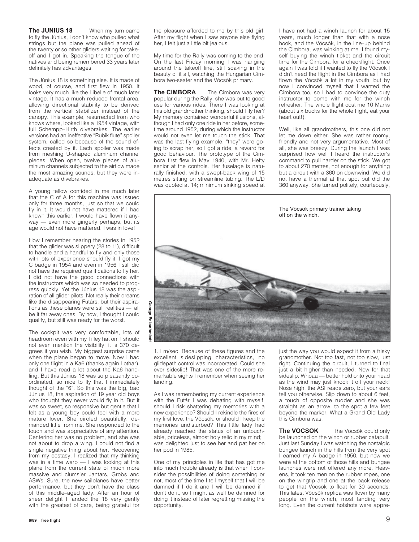**The JUNIUS 18** When my turn came to fly the Június, I don't know who pulled what strings but the plane was pulled ahead of the twenty or so other gliders waiting for takeoff and I got in. Speaking the tongue of the natives and being remembered 33 years later definitely has advantages.

The Június 18 is something else. It is made of wood, of course, and first flew in 1950. It looks very much like the Libelle of much later vintage. It has a much reduced frontal area, allowing directional stability to be derived from the vertical stabilizer instead of the canopy. This example, resurrected from who knows where, looked like a 1954 vintage, with full Schempp–Hirth divebrakes. The earlier versions had an ineffective "Rubik flute" spoiler system, called so because of the sound effects created by it. Each spoiler was made from meshing U-shaped aluminum channel pieces. When open, twelve pieces of aluminum channels subjected to the airflow made the most amazing sounds, but they were inadequate as divebrakes.

A young fellow confided in me much later that the C of A for this machine was issued only for three months, just so that we could fly in it. It would not have mattered if I had known this earlier. I would have flown it anyway — even more gingerly perhaps, but its age would not have mattered. I was in love!

How I remember hearing the stories in 1952 that the glider was slippery (28 to 1!), difficult to handle and a handful to fly and only those with lots of experience should fly it. I got my C badge in 1954 and even in 1956 I still did not have the required qualifications to fly her. I did not have the good connections with the instructors which was so needed to progress quickly. Yet the Június 18 was the aspiration of all glider pilots. Not really their dreams like the disappearing Futárs, but their aspirations as these planes were still realities — all be it far away ones. By now, I thought I could qualify, but still was ready for the worst.

The cockpit was very comfortable, lots of headroom even with my Tilley hat on. I should not even mention the visibility; it is 370 degrees if you wish. My biggest surprise came when the plane began to move. Now I had only one flight in a Ka6 (thanks again Lothar), and I have read a lot about the Ka6 handling. But this Június 18 was so pleasantly coordinated, so nice to fly that I immediately thought of the "6". So this was the big, bad Június 18, the aspiration of 19 year old boys who thought they never would fly in it. But it was so sweet, so responsive but gentle that I felt as a young boy could feel with a more mature lover. She circled beautifully, demanded little from me. She responded to the touch and was appreciative of any attention. Centering her was no problem, and she was not about to drop a wing. I could not find a single negative thing about her. Recovering from my ecstasy, I realized that my thinking was in a time warp — I was looking at this plane from the current state of much more massive and clumsier Jantars, Grobs and ASWs. Sure, the new sailplanes have better performance, but they don't have the class of this middle–aged lady. After an hour of sheer delight I landed the 18 very gently with the greatest of care, being grateful for

the pleasure afforded to me by this old girl. After my flight when I saw anyone else flying her, I felt just a little bit jealous.

My time for the Rally was coming to the end. On the last Friday morning I was hanging around the takeoff line, still soaking in the beauty of it all, watching the Hungarian Cimbora two-seater and the Vöcsök primary.

**The CIMBORA** The Cimbora was very popular during the Rally, she was put to good use for various rides. There I was looking at this old grandmother thinking, should I fly her? My memory contained wonderful illusions, although I had only one ride in her before, sometime around 1952, during which the instructor would not even let me touch the stick. That was the last flying example, "they" were going to scrap her, so I got a ride, a reward for good behaviour. The prototype of the Cimbora first flew in May 1940, with Mr. Hefty senior at the controls. Her fuselage is naturally finished, with a swept-back wing of 15 metres sitting on streamline tubing. The L/D was quoted at 14; minimum sinking speed at I have not had a winch launch for about 15 years, much longer than that with a nose hook, and the Vöcsök, in the line–up behind the Cimbora, was winking at me. I found myself buying the winch ticket and the circuit time for the Cimbora for a checkflight. Once again I was told if I wanted to fly the Vöcsök I didn't need the flight in the Cimbora as I had flown the Vöcsök a lot in my youth, but by now I convinced myself that I wanted the Cimbora too, so I had to convince the duty instructor to come with me for the winch refresher. The whole flight cost me 10 Marks (about six bucks for the whole flight, eat your heart out!).

Well, like all grandmothers, this one did not let me down either. She was rather roomy, friendly and not very argumentative. Most of all, she was breezy. During the launch I was surprised how well I heard the instructor's command to pull harder on the stick. We got to about 270 metres, not enough for anything but a circuit with a 360 on downwind. We did not have a thermal at that spot but did the 360 anyway. She turned politely, courteously,



1.1 m/sec. Because of these figures and the excellent sideslipping characteristics, no glidepath control was incorporated. Could she ever sideslip! That was one of the more remarkable sights I remember when seeing her landing.

As I was remembering my current experience with the Futár I was debating with myself, should I risk shattering my memories with a new experience? Should I rekindle the fires of my first love, the Vöcsök, or should I keep the memories undisturbed? This little lady had already reached the status of an untouchable, priceless, almost holy relic in my mind; I was delighted just to see her and pat her on her pod in 1985.

One of my principles in life that has got me into much trouble already is that when I consider the possibilities of doing something or not, most of the time I tell myself that I will be damned if I do it and I will be damned if I don't do it, so I might as well be damned for doing it instead of later regretting missing the opportunity.

just the way you would expect it from a frisky grandmother. Not too fast, not too slow, just right. Continuing the circuit, I turned to final just a bit higher than needed. Now for that sideslip. Whoaa — better hold onto your head as the wind may just knock it off your neck! Nose high, the ASI reads zero, but your ears tell you otherwise. Slip down to about 6 feet, a touch of opposite rudder and she was straight as an arrow, to the spot a few feet beyond the marker. What a Grand Old Lady this Cimbora was.

**The VOCSOK** The Vöcsök could only be launched on the winch or rubber catapult. Just last Sunday I was watching the nostalgic bungee launch in the hills from the very spot I earned my A badge in 1950, but now we were at the bottom of those hills and bungee launches were not offered any more. Heavens, it took ten men on the rubber ropes, one on the wingtip and one at the back release to get that Vöcsök to float for 30 seconds. This latest Vöcsök replica was flown by many people on the winch, most landing very long. Even the current hotshots were appre-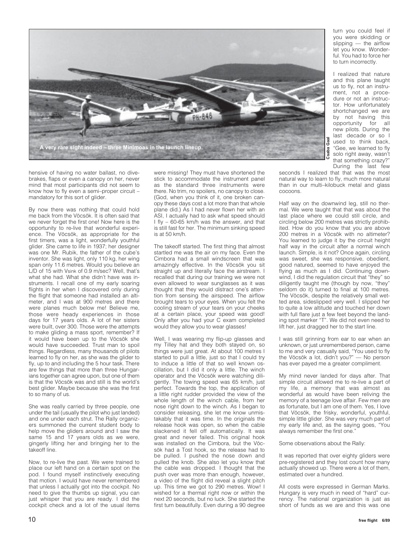

hensive of having no water ballast, no divebrakes, flaps or even a canopy on her, never mind that most participants did not seem to know how to fly even a semi–proper circuit – mandatory for this sort of glider.

By now there was nothing that could hold me back from the Vöcsök. It is often said that we never forget the first one! Now here is the opportunity to re-live that wonderful experience. The Vöcsök, as appropriate for the first timers, was a light, wonderfully youthful glider. She came to life in 1937; her designer was one Mr. Rubik, the father of the cube's inventor. She was light, only 110 kg, her wing span only 11.6 metres. Would you believe an L/D of 15 with Vsink of 0.9 m/sec? Well, that's what she had. What she didn't have was instruments. I recall one of my early soaring flights in her when I discovered only during the flight that someone had installed an altimeter, and I was at 900 metres and there were planes much below me! Believe me, those were heady experiences in those days for 17 years olds. A lot of her sisters were built, over 300. Those were the attempts to make gliding a mass sport, remember? If it would have been up to the Vöcsök she would have succeeded. Trust man to spoil things. Regardless, many thousands of pilots learned to fly on her, as she was the glider to fly, up to and including the 5 hour task. There are few things that more than three Hungarians together can agree upon, but one of them is that the Vöcsök was and still is the world's best glider. Maybe because she was the first to so many of us.

She was really carried by three people, one under the tail (usually the pilot who just landed) and one under each strut. The Rally organizers summoned the current student body to help move the gliders around and I saw the same 15 and 17 years olds as we were, gingerly lifting her and bringing her to the takeoff line.

Now, to re-live the past. We were trained to place our left hand on a certain spot on the pod. I found myself instinctively executing that motion. I would have never remembered that unless I actually got into the cockpit. No need to give the thumbs up signal, you can just whisper that you are ready. I did the cockpit check and a lot of the usual items

were missing! They must have shortened the stick to accommodate the instrument panel as the standard three instruments were there. No trim, no spoilers, no canopy to close. (God, when you think of it, one broken canopy these days cost a lot more than that whole plane did.) As I had never flown her with an ASI, I actually had to ask what speed should I fly – 60-65 km/h was the answer, and that is still fast for her. The minimum sinking speed is at 50 km/h.

The takeoff started. The first thing that almost startled me was the air on my face. Even the Cimbora had a small windscreen that was amazingly effective. In the Vöcsök you sit straight up and literally face the airstream. I recalled that during our training we were not even allowed to wear sunglasses as it was thought that they would distract one's attention from sensing the airspeed. The airflow brought tears to your eyes. When you felt the cooling stream of your tears on your cheeks at a certain place, your speed was good! Only after you had your C exam completed would they allow you to wear glasses!

Well, I was wearing my flip-up glasses and my Tilley hat and they both stayed on, so things were just great. At about 100 metres I started to pull a little, just so that I could try to induce a little of that so well known oscillation, but I did it only a little. The winch operator and the Vöcsök were watching diligently. The towing speed was 65 km/h, just perfect. Towards the top, the application of a little right rudder provided the view of the whole length of the winch cable, from her nose right down to the winch. As I began to consider releasing, she let me know unmistakably that it was time. In the originals the release hook was open, so when the cable slackened it fell off automatically. It was great and never failed. This original hook was installed on the Cimbora, but the Vöcsök had a Tost hook, so the release had to be pulled. I pushed the nose down and pulled the knob. She also let you know that the cable was dropped. I thought that the push over was more than enough, however, a video of the flight did reveal a slight pitch up. This time we got to 290 metres. Wow! I wished for a thermal right now or within the next 20 seconds, but no luck. She started the first turn beautifully. Even during a 90 degree

During the last few seconds I realized that that was the most natural way to learn to fly, much more natural than in our multi–kilobuck metal and glass cocoons.

turn you could feel if you were skidding or slipping — the airflow let you know. Wonderful. You had to force her to turn incorrectly.

I realized that nature and this plane taught us to fly, not an instrument, not a procedure or not an instructor. How unfortunately shortchanged we are by not having this opportunity for all new pilots. During the last decade or so I used to think back, "Gee, we learned to fly solo right away, wasn't that something crazy?"

Half way on the downwind leg, still no thermal. We were taught that that was about the last place where we could still circle, and circling below 200 metres was strictly prohibited. How do you know that you are above 200 metres in a Vöcsök with no altimeter? You learned to judge it by the circuit height half way in the circuit after a normal winch launch. Simple, is it not? Once again, circling was sweet, she was responsive, obedient, good natured, seemed to have enjoyed the flying as much as I did. Continuing downwind, I did the regulation circuit that "they" so diligently taught me (though by now, "they" seldom do it) turned to final at 100 metres. The Vöcsök, despite the relatively small wetted area, sideslipped very well. I slipped her to quite a low altitude and touched her down with full flare just a few feet beyond the landing spot marker "T". We did not even need to lift her, just dragged her to the start line.

I was still grinning from ear to ear when an unknown, or just unremembered person, came to me and very casually said, "You used to fly the Vöcsök a lot, didn't you?" — No person has ever payed me a greater compliment.

My mind never landed for days after. That simple circuit allowed me to re-live a part of my life, a memory that was almost as wonderful as would have been reliving the memory of a teenage love affair. Few men are as fortunate, but I am one of them. Yes, I love that Vöcsök, the frisky, wonderful, youthful, simple little glider. She was very much part of my early life and, as the saying goes, "You always remember the first one."

Some observations about the Rally:

It was reported that over eighty gliders were pre-registered and they lost count how many actually showed up. There were a lot of them, estimated over a hundred.

All costs were expressed in German Marks. Hungary is very much in need of "hard" currency. The national organization is just as short of funds as we are and this was one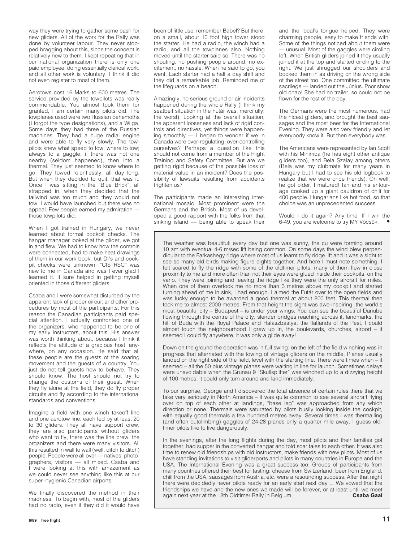way they were trying to gather some cash for new gliders. All of the work for the Rally was done by volunteer labour. They never stopped bragging about this, since the concept is relatively new to them. I kept repeating that in our national organization there is only one paid employee, doing essentially clerical work, and all other work is voluntary. I think it did not even register to most of them.

Aerotows cost 16 Marks to 600 metres. The service provided by the towpilots was really commendable. You almost took them for granted, I am certain many pilots did. The towplanes used were two Russian behemoths (I forgot the type designations), and a Wilga. Some days they had three of the Russian machines. They had a huge radial engine and were able to fly very slowly. The towpilots knew what speed to tow, where to tow; always to a gaggle, if there was not one nearby (seldom happened), then into a thermal. They just seemed to know where to go. They towed relentlessly, all day long. But when they decided to quit, that was it. Once I was sitting in the "Blue Brick", all strapped in, when they decided that the tailwind was too much and they would not tow. I would have launched but there was no appeal. Few people earned my admiration those towpilots did.

When I got trained in Hungary, we never learned about formal cockpit checks. The hangar manager looked at the glider, we got in and flew. We had to know how the controls were connected, had to make neat drawings of them in our work book, but DI's and cockpit checks were unknown. "CISTRSC" was new to me in Canada and was I ever glad I learned it. It sure helped in getting myself oriented in those different gliders.

Csaba and I were somewhat disturbed by the apparent lack of proper circuit and other procedures by most of the participants. For this reason the Canadian participants paid special attention. I actually confronted one of the organizers, who happened to be one of my early instructors, about this. His answer was worth thinking about, because I think it reflects the attitude of a gracious host, anywhere, on any occasion. He said that all these people are the guests of the soaring movement and the guests of a country. You just do not tell guests how to behave. They should know. The host should not try to change the customs of their guest. When they fly alone at the field, they do fly proper circuits and fly according to the international standards and conventions.

Imagine a field with one winch takeoff line and one aerotow line, each fed by at least 20 to 30 gliders. They all have support crew, they are also participants without gliders who want to fly, there was the line crew, the organizers and there were many visitors. All this resulted in wall to wall (well, ditch to ditch) people. People were all over — natives, photographers, visitors — all mixed. Csaba and I were looking at this with amazement as we could never see anything like this at our super–hygienic Canadian airports.

We finally discovered the method in their madness. To begin with, most of the gliders had no radio, even if they did it would have been of little use, remember Babel? But there, on a small, about 10 foot high tower stood the starter. He had a radio, the winch had a radio, and all the towplanes also. Nothing moved until the starter said so. There was no shouting, no pushing people around, no excitement, no hassle. When he said to go, you went. Each starter had a half a day shift and they did a remarkable job. Reminded me of the lifeguards on a beach.

Amazingly, no serious ground or air incidents happened during the whole Rally (I think my seatbelt situation in the Futár was, mercifully, the worst). Looking at the overall situation, the apparent looseness and lack of rigid controls and directives, yet things were happening smoothly — I began to wonder if we in Canada were over-regulating, over-controlling ourselves? Perhaps a question like this should not come from a member of the Flight Training and Safety Committee. But are we getting rigid because of the possible loss of material value in an incident? Does the possibility of lawsuits resulting from accidents frighten us?

The participants made an interesting international mosaic. Most prominent were the Germans and the British. Most of us developed a good rapport with the folks from that sinking island — being able to speak their

and the local's tongue helped. They were charming people, easy to make friends with. Some of the things noticed about them were — unusual. Most of the gaggles were circling left. When British gliders joined it they usually joined it at the top and started circling to the right. We just shrugged our shoulders and booked them in as driving on the wrong side of the street too. One committed the ultimate sacrilege — landed out the Június. Poor show old chap! She had no trailer, so could not be flown for the rest of the day.

The Germans were the most numerous, had the nicest gliders, and brought the best sausages and the most beer for the International Evening. They were also very friendly and let everybody know it. But then everybody was.

The Americans were represented by Ian Scott with his Minimoa (he has eight other antique gliders too), and Bela Szalay among others (Bela was my clubmate for many years in Hungary but I had to see his old logbook to realize that we were once friends). Oh well, he got older, I matured! Ian and his entourage cooked up a giant cauldron of chili for 400 people. Hungarians like hot food, so that choice was an unprecedented success.

Would I do it again? Any time. If I win the 6-49, you are welcome to try MY Vöcsök. •

The weather was beautiful: every day but one was sunny, the cu were forming around 10 am with eventual 4-6 m/sec lift being common. On some days the wind blew perpendicular to the Farkashegy ridge where most of us learnt to fly ridge lift and it was a sight to see so many old birds making figure eights together. And here I must note something: I felt scared to fly the ridge with some of the oldtimer pilots, many of them flew in close proximity to me and more often than not their eyes were glued inside their cockpits, on the vario. They were joining and leaving the ridge like they were the only aircraft for miles. When one of them overtook me no more than 3 metres above my cockpit and started turning ahead of me in sink, I had enough. I aimed the Futár over to the open fields and was lucky enough to be awarded a good thermal at about 800 feet. This thermal then took me to almost 2000 metres. From that height the sight was awe-inspiring: the world's most beautiful city – Budapest – is under your wings. You can see the beautiful Danube flowing through the centre of the city, slender bridges reaching across it, landmarks, the hill of Buda with the Royal Palace and Halaszbastya, the flatlands of the Pest, I could almost touch the neighbourhood I grew up in, the boulevards, churches, airport  $-$  it seemed I could fly anywhere, it was only a glide away!

Down on the ground the operation was in full swing: on the left of the field winching was in progress that alternated with the towing of vintage gliders on the middle. Planes usually landed on the right side of the field, level with the starting line. There were times when – it seemed – all the 50 plus vintage planes were waiting in line for launch. Sometimes delays were unavoidable when the Grunau 9 "Skullsplitter" was winched up to a dizzying height of 100 metres, it could only turn around and land immediately.

To our surprise, George and I discovered the total absence of certain rules there that we take very seriously in North America – it was quite common to see several aircraft flying over on top of each other at landings, "base leg" was approached from any which direction or none. Thermals were saturated by pilots busily looking inside the cockpit, with equally good thermals a few hundred metres away. Several times I was thermalling (and often outclimbing) gaggles of 24-28 planes only a quarter mile away. I guess oldtimer pilots like to live dangerously.

In the evenings, after the long flights during the day, most pilots and their families got together, had supper in the converted hangar and told soar tales to each other. It was also time to renew old friendships with old instructors, make friends with new pilots. Most of us have standing invitations to visit gliderports and pilots in many countries in Europe and the USA. The International Evening was a great success too. Groups of participants from many countries offered their best for tasting: cheese from Switzerland, beer from England, chili from the USA, sausages from Austria, etc. were a resounding success. After that night there were decidedly fewer pilots ready for an early start next day ... We vowed that the friendships we have and the new ones we made will be forever, or at least until we meet<br>again next year at the 18th Oldtimer Rally in Relgium again next year at the 18th Oldtimer Rally in Belgium.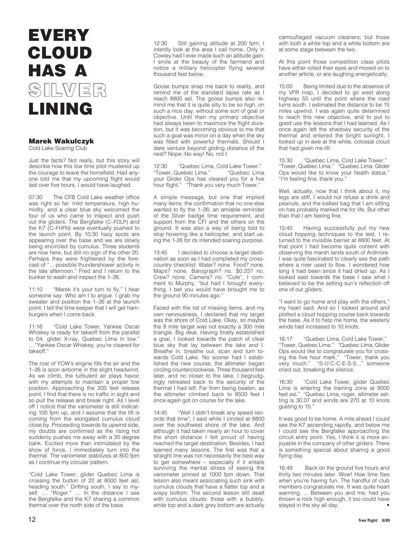### **EVERY CLOUD HAS A SILVER SILVERLINING**

### **Marek Wakulczyk**

Cold Lake Soaring Club

Just the facts? Not really, but this story will describe how this low time pilot mustered up the courage to leave the homefield. Had anyone told me that my upcoming flight would last over five hours, I would have laughed.

07:30 The CFB Cold Lake weather office was right so far: mild temperature, high humidity, and a clear blue sky welcomed the four of us who came to inspect and push out the gliders. The Bergfalke (C–FDLP) and the K7 (C–FHFN) were eventually pushed to the launch point. By 10:30 hazy spots are appearing over the base and we are slowly being encircled by cumulus. Three students are now here, but still no sign of the other 20. Perhaps they were frightened by the forecast of "... possible thundershower activity in the late afternoon." Fred and I return to the bunker to wash and inspect the 1–26.

11:10 "Marek it's your turn to fly," I hear someone say. Who am I to argue. I grab my sweater and position the 1–26 at the launch point. I tell the time keeper that I will get hamburgers when I come back.

11:16 "Cold Lake Tower, Yankee Oscar Whiskey is ready for takeoff from the parallel to 04, glider X–ray, Quebec Lima in tow." ...."Yankee Oscar Whiskey, you're cleared for takeoff."

The roar of YOW's engine fills the air and the 1–26 is soon airborne in the slight headwind. As we climb, the turbulent air plays havoc with my attempts to maintain a proper tow position. Approaching the 200 feet release point, I find that there is no traffic in sight and so pull the release and break right. As I level off I notice that the variometer is still indicating 100 fpm up, and I assume that the lift is coming from the elongated cumulus cloud close by. Proceeding towards its upwind side, my doubts are confirmed as the rising hot suddenly pushes me away with a 30 degree bank. Excited more than intimidated by the show of force, I immediately turn into the thermal. The variometer stabilizes at 800 fpm as I continue my circular pattern.

"Cold Lake Tower, glider Quebec Lima is crossing the button of 22 at 8000 feet asl, heading south." Drifting south, I say to myself. .... "Roger." .... In the distance I see the Bergfalke and the K7 sharing a common thermal over the north side of the base.

12:30 Still gaining altitude at 200 fpm, I intently look at the area I call home. Only in Cowley had I ever made such an altitude gain. I smile at the beauty of the farmland and notice a military helicopter flying several thousand feet below.

Goose bumps snap me back to reality, and remind me of the standard lapse rate as I reach 8800 asl. The goose bumps also remind me that it is quite silly to be so high, on such a nice day, without some sort of goal or objective. Until then my primary objective had always been to maximize the flight duration, but it was becoming obvious to me that such a goal was minor on a day when the sky was filled with powerful thermals. Should I dare venture beyond gliding distance of the nest? Nope. No way! No, not I.

12:30 "Quebec Lima, Cold Lake Tower."<br>"Tower, Quebec Lima." "Quebec Lima "Tower, Quebec Lima." your Glider Ops has cleared you for a five hour flight." "Thank you very much Tower."

A simple message, but one that implied many items: the confirmation that no one else wanted to fly the 1–26; an amiable reminder of the Silver badge time requirement, and support from the CFI and the others on the ground. It was also a way of being told to stop hovering like a helicopter, and start using the 1-26 for its intended soaring purpose.

13:45 I decided to choose a target destination as soon as I had completed my crosscountry checklist: Water? none. Food? none. Maps? none. Barograph? no. \$0.25? no. Crew? none. Camera? no. "Cute", I comment to Murphy, "but had I brought everything, I bet you would have brought me to the ground 90 minutes ago."

Faced with the list of missing items, and my own nervousness, I declared that my target was the shore of Cold Lake. Okay, so maybe the 8 mile target was not exactly a 300 mile triangle. Big deal. Having finally established a goal, I looked towards the patch of clear blue sky that lay between the lake and I. Breathe in, breathe out, scan and turn towards Cold Lake. No sooner had I established the new course, the altimeter began circling counterclockwise. Three thousand feet later, and no closer to the lake, I begrudgingly retreated back to the security of the thermal I had left. Far from being beaten, as the altimeter climbed back to 8500 feet I once again got on course for the lake.

14:45 "Well I didn't break any speed records that time", I said while I circled at 8800 over the southwest shore of the lake. And although it had taken nearly an hour to cover the short distance I felt proud of having reached the target destination. Besides, I had learned many lessons. The first was that a straight line was not necessarily the best way to get somewhere – especially if it entails surviving the mental stress of seeing the variometer pinned at 1000 fpm down. That lesson also meant associating such sink with cumulus clouds that have a flatter top and a wispy bottom. The second lesson still dealt with cumulus clouds: those with a bubbly, white top and a dark grey bottom are actually

camouflaged vacuum cleaners; but those with both a white top and a white bottom are at some stage between the two.

At this point those competition class pilots have either rolled their eyes and moved on to another article, or are laughing energetically.

15:00 Being limited due to the absence of my VFR map, I decided to go west along highway 55 until the point where the road turns south. I estimated the distance to be 15 miles upwind. I was again quite determined to reach this new objective, and to put to good use the lessons that I had learned. As I once again left the shadowy security of the thermal and entered the bright sunlight, I looked up in awe at the white, colossal cloud that had given me lift.

15:30 "Quebec Lima, Cold Lake Tower." "Tower, Quebec Lima." "Quebec Lima, Glider Ops would like to know your health status.' "I'm feeling fine, thank you."

Well, actually, now that I think about it, my legs are stiff, I would not refuse a drink and peanuts, and the ballast bag that I am sitting on has probably marked me for life. But other than that I am feeling fine.

15:40 Having successfully put my new cloud hopping techniques to the test, I returned to the invisible barrier at 8800 feet. At that point I had become quite content with observing the marsh lands south of Ardmore. I was quite fascinated to clearly see the path where a river used to flow. I wondered how long it had been since it had dried up. As I looked east towards the base I saw what I believed to be the setting sun's reflection off one of our gliders.

"I want to go home and play with the others," my heart said. And so I looked around and plotted a cloud hopping course back towards the base. As if to help me home, the westerly winds had increased to 10 knots.

16:17 "Quebec Lima, Cold Lake Tower." "Tower, Quebec Lima." "Quebec Lima, Glider Ops would like to congratulate you for crossing the five hour mark." "Tower, thank you very much." "S-U-C-C-E-S-S..." someone cried out, breaking the silence.

16:30 "Cold Lake Tower, glider Quebec Lima is entering the training zone at 8000 feet asl." "Quebec Lima, roger, altimeter setting is 30.07 and winds are 270 at 10 knots gusting to 15."

It was good to be home. A mile ahead I could see the K7 ascending rapidly, and below me I could see the Bergfalke approaching the circuit entry point. Yes, I think it is more enjoyable in the company of other gliders. There is something special about sharing a good flying day.

16:49 Back on the ground five hours and thirty two minutes later. Wow! How time flies when you're having fun. The handful of club members congratulate me. It was quite heart warming. ... Between you and me, had you thrown a rock high enough, it too could have stayed in the sky all day. •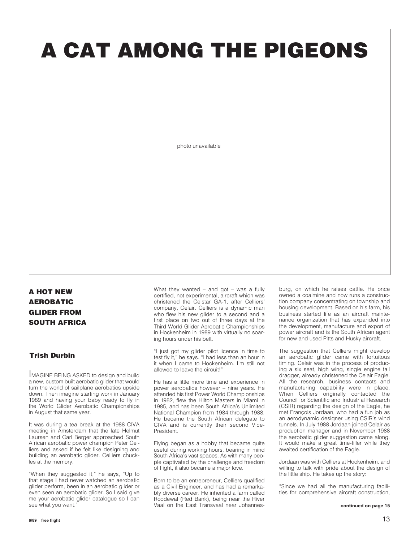# **A CAT AMONG THE PIGEONS**

photo unavailable

### **A HOT NEW AEROBATIC GLIDER FROM SOUTH AFRICA**

### **Trish Durbin**

IMAGINE BEING ASKED to design and build a new, custom built aerobatic glider that would turn the world of sailplane aerobatics upside down. Then imagine starting work in January 1989 and having your baby ready to fly in the World Glider Aerobatic Championships in August that same year.

It was during a tea break at the 1988 CIVA meeting in Amsterdam that the late Helmut Laursen and Carl Berger approached South African aerobatic power champion Peter Celliers and asked if he felt like designing and building an aerobatic glider. Celliers chuckles at the memory.

"When they suggested it," he says, "Up to that stage I had never watched an aerobatic glider perform, been in an aerobatic glider or even seen an aerobatic glider. So I said give me your aerobatic glider catalogue so I can see what you want.

What they wanted – and got – was a fully certified, not experimental, aircraft which was christened the Celstar GA-1, after Celliers' company, Celair. Celliers is a dynamic man who flew his new glider to a second and a first place on two out of three days at the Third World Glider Aerobatic Championships in Hockenheim in 1989 with virtually no soaring hours under his belt.

"I just got my glider pilot licence in time to test fly it," he says. "I had less than an hour in it when I came to Hockenheim. I'm still not allowed to leave the circuit!"

He has a little more time and experience in power aerobatics however – nine years. He attended his first Power World Championships in 1982, flew the Hilton Masters in Miami in 1985, and has been South Africa's Unlimited National Champion from 1984 through 1988. He became the South African delegate to CIVA and is currently their second Vice-President.

Flying began as a hobby that became quite useful during working hours, bearing in mind South Africa's vast spaces. As with many people captivated by the challenge and freedom of flight, it also became a major love.

Born to be an entrepreneur, Celliers qualified as a Civil Engineer, and has had a remarkably diverse career. He inherited a farm called Roodewal (Red Bank), being near the River Vaal on the East Transvaal near Johannesburg, on which he raises cattle. He once owned a coalmine and now runs a construction company concentrating on township and housing development. Based on his farm, his business started life as an aircraft maintenance organization that has expanded into the development, manufacture and export of power aircraft and is the South African agent for new and used Pitts and Husky aircraft.

The suggestion that Celliers might develop an aerobatic glider came with fortuitous timing. Celair was in the process of producing a six seat, high wing, single engine tail dragger, already christened the Celair Eagle. All the research, business contacts and manufacturing capability were in place. When Celliers originally contacted the Council for Scientific and Industrial Research (CSIR) regarding the design of the Eagle, he met François Jordaan, who had a fun job as an aerodynamic designer using CSIR's wind tunnels. In July 1988 Jordaan joined Celair as production manager and in November 1988 the aerobatic glider suggestion came along. It would make a great time-filler while they awaited certification of the Eagle.

Jordaan was with Celliers at Hockenheim, and willing to talk with pride about the design of the little ship. He takes up the story:

"Since we had all the manufacturing facilities for comprehensive aircraft construction,

**continued on page 15**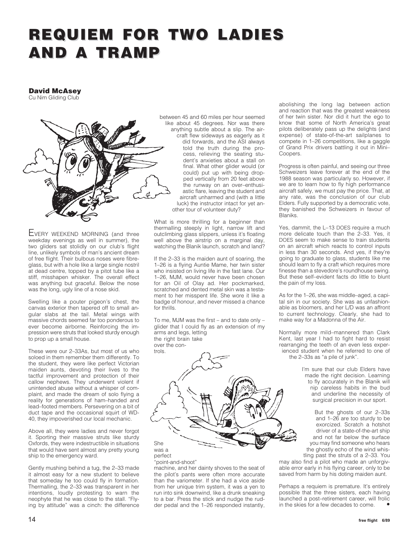### **REQUIEM FOR TWO LADIES REQUIEM FOR TWO LADIES AND A TRAMP AND A TRAMP**

### **David McAsey**

Cu Nim Gliding Club



EVERY WEEKEND MORNING (and three weekday evenings as well in summer), the two gliders sat stolidly on our club's flight line, unlikely symbols of man's ancient dream of free flight. Their bulbous noses were fibreglass, but with a hole like a large single nostril at dead centre, topped by a pitot tube like a stiff, misshapen whisker. The overall effect was anything but graceful. Below the nose was the long, ugly line of a nose skid.

Swelling like a pouter pigeon's chest, the canvas exterior then tapered off to small angular slabs at the tail. Metal wings with massive chords seemed far too ponderous to ever become airborne. Reinforcing the impression were struts that looked sturdy enough to prop up a small house.

These were our 2–33As, but most of us who soloed in them remember them differently. To the student, they were like perfect Victorian maiden aunts, devoting their lives to the tactful improvement and protection of their callow nephews. They underwent violent if unintended abuse without a whisper of complaint, and made the dream of solo flying a reality for generations of ham–handed and lead–footed members. Persevering on a bit of duct tape and the occasional squirt of WD-40, they impoverished our local mechanic.

Above all, they were ladies and never forgot it. Sporting their massive struts like sturdy Oxfords, they were indestructible in situations that would have sent almost any pretty young ship to the emergency ward.

Gently mushing behind a tug, the 2–33 made it almost easy for a new student to believe that someday he too could fly in formation. Thermalling, the 2–33 was transparent in her intentions, loudly protesting to warn the neophyte that he was close to the stall. "Flying by attitude" was a cinch: the difference between 45 and 60 miles per hour seemed like about 45 degrees. Nor was there anything subtle about a slip. The aircraft flew sideways as eagerly as it did forwards, and the ASI always told the truth during the process, relieving the seating student's anxieties about a stall on final. What other glider would (or could) put up with being dropped vertically from 20 feet above the runway on an over–enthusiastic flare, leaving the student and aircraft unharmed and (with a little luck) the instructor intact for yet another tour of volunteer duty?

What is more thrilling for a beginner than thermalling steeply in light, narrow lift and outclimbing glass slippers, unless it's floating well above the airstrip on a marginal day, watching the Blanik launch, scratch and land?

If the 2–33 is the maiden aunt of soaring, the 1–26 is a flying Auntie Mame, her twin sister who insisted on living life in the fast lane. Our 1–26, MJM, would never have been chosen for an Oil of Olay ad. Her pockmarked, scratched and dented metal skin was a testament to her misspent life. She wore it like a badge of honour, and never missed a chance for thrills.

To me, MJM was the first – and to date only – glider that I could fly as an extension of my arms and legs, letting the right brain take over the controls.



"point-and-shoot"

machine, and her dainty shoves to the seat of the pilot's pants were often more accurate than the variometer. If she had a vice aside from her unique trim system, it was a yen to run into sink downwind, like a drunk sneaking to a bar. Press the stick and nudge the rudder pedal and the 1–26 responded instantly,

abolishing the long lag between action and reaction that was the greatest weakness of her twin sister. Nor did it hurt the ego to know that some of North America's great pilots deliberately pass up the delights (and expense) of state-of-the-art sailplanes to compete in 1–26 competitions, like a gaggle of Grand Prix drivers battling it out in Mini– Coopers.

Progress is often painful, and seeing our three Schweizers leave forever at the end of the 1988 season was particularly so. However, if we are to learn how to fly high performance aircraft safely, we must pay the price. That, at any rate, was the conclusion of our club Elders. Fully supported by a democratic vote, they banished the Schweizers in favour of Blaniks.

Yes, dammit, the L–13 DOES require a much more delicate touch than the 2-33. Yes, it DOES seem to make sense to train students on an aircraft which reacts to control inputs in less than 30 seconds. And yes, if they're going to graduate to glass, students like me should learn to fly a craft which requires more finesse than a stevedore's roundhouse swing. But these self–evident facts do little to blunt the pain of my loss.

As for the 1–26, she was middle–aged, a capital sin in our society. She was as unfashionable as bloomers, and her L/D was an affront to current technology. Clearly, she had to make way for a Madonna of the Air.

Normally more mild–mannered than Clark Kent, last year I had to fight hard to resist rearranging the teeth of an even less experienced student when he referred to one of the 2–33s as "a pile of junk".

> I'm sure that our club Elders have made the right decision. Learning to fly accurately in the Blanik will nip careless habits in the bud and underline the necessity of surgical precision in our sport.

But the ghosts of our 2–33s and 1–26 are too sturdy to be exorcized. Scratch a hotshot driver of a state-of-the-art ship and not far below the surface you may find someone who hears the ghostly echo of the wind whistling past the struts of a 2–33. You

may also find a pilot who made an unforgivable error early in his flying career, only to be saved from harm by his doting maiden aunt.

Perhaps a requiem is premature. It's entirely possible that the three sisters, each having launched a post–retirement career, will frolic in the skies for a few decades to come. •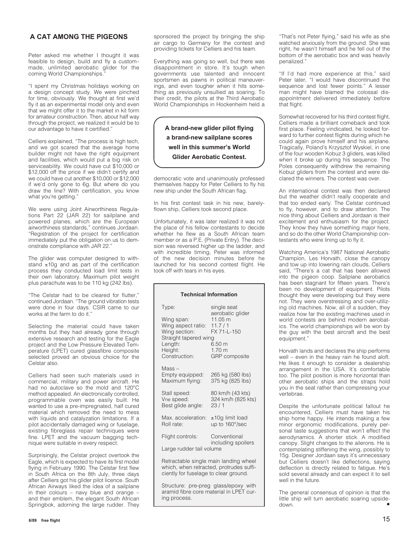### **A CAT AMONG THE PIGEONS**

Peter asked me whether I thought it was feasible to design, build and fly a custom– made, unlimited aerobatic glider for the coming World Championships."

"I spent my Christmas holidays working on a design concept study. We were pinched for time, obviously. We thought at first we'd fly it as an experimental model only and even that we might offer it to the market in kit form for amateur construction. Then, about half way through the project, we realized it would be to our advantage to have it certified."

Celliers explained, "The process is high tech, and we got scared that the average home builder might not have the right equipment and facilities, which would put a big risk on serviceability. We could have cut \$10,000 or \$12,000 off the price if we didn't certify and we could have cut another \$10,000 or \$12,000 if we'd only gone to 6g. But where do you draw the line? With certification, you know what you're getting."

We were using Joint Airworthiness Regulations Part 22 (JAR 22) for sailplane and powered planes, which are the European airworthiness standards," continues Jordaan. "Registration of the project for certification immediately put the obligation on us to demonstrate compliance with JAR 22."

The glider was computer designed to withstand ±10g and as part of the certification process they conducted load limit tests in their own laboratory. Maximum pilot weight plus parachute was to be 110 kg (242 lbs).

"The Celstar had to be cleared for flutter," continued Jordaan. "The ground vibration tests were done in four days. CSIR came to our works at the farm to do it."

Selecting the material could have taken months but they had already gone through extensive research and testing for the Eagle project and the Low Pressure Elevated Temperature (LPET) cured glassfibre composite selected proved an obvious choice for the Celstar also.

Celliers had seen such materials used in commercial, military and power aircraft. He had no autoclave so the mold and 120°C method appealed. An electronically controlled, programmable oven was easily built. He wanted to use a pre-impregnated, half cured material which removed the need to mess with liquids and catalyzation limitations. If a pilot accidentally damaged wing or fuselage, existing fibreglass repair techniques were fine. LPET and the vacuum bagging technique were suitable in every respect.

Surprisingly, the Celstar project overtook the Eagle, which is expected to have its first model flying in February 1990. The Celstar first flew in South Africa on the 8th July, three days after Celliers got his glider pilot licence. South African Airways liked the idea of a sailplane in their colours – navy blue and orange – and their emblem, the elegant South African Springbok, adorning the large rudder. They

sponsored the project by bringing the ship air cargo to Germany for the contest and providing tickets for Celliers and his team.

Everything was going so well, but there was disappointment in store. It's tough when governments use talented and innocent sportsmen as pawns in political maneuverings, and even tougher when it hits something as previously unsullied as soaring. To their credit, the pilots at the Third Aerobatic World Championships in Hockenheim held a

**A brand-new glider pilot flying a brand-new sailplane scores well in this summer's World Glider Aerobatic Contest.**

democratic vote and unanimously professed themselves happy for Peter Celliers to fly his new ship under the South African flag.

In his first contest task in his new, barelyflown ship, Celliers took second place.

Unfortunately, it was later realized it was not the place of his fellow contestants to decide whether he flew as a South African team member or as a P.E. (Private Entry). The decision was reversed higher up the ladder, and with incredible timing, Peter was informed of the new decision minutes before he launched for his second contest flight. He took off with tears in his eyes.

| <b>Technical Information</b>                                                                                               |                                                                                                                                       |  |  |  |
|----------------------------------------------------------------------------------------------------------------------------|---------------------------------------------------------------------------------------------------------------------------------------|--|--|--|
| Type:<br>Wing span:<br>Wing aspect ratio:<br>Wing section:<br>Straight tapered wing<br>Length:<br>Height:<br>Construction: | single seat<br>aerobatic glider<br>11.05 m<br>11.7/1<br>FX 71-L-150<br>6.50 <sub>m</sub><br>1.70 <sub>m</sub><br><b>GRP</b> composite |  |  |  |
| Mass –<br>Empty equipped:<br>Maximum flying:                                                                               | 265 kg (580 lbs)<br>375 kg (825 lbs)                                                                                                  |  |  |  |
| Stall speed:<br>Vne speed:<br>Best glide angle:                                                                            | 80 km/h (43 kts)<br>324 km/h (825 kts)<br>23/1                                                                                        |  |  |  |
| Max. acceleration:<br>Roll rate:                                                                                           | ±10g limit load<br>up to 160°/sec                                                                                                     |  |  |  |
| Flight controls:                                                                                                           | Conventional<br>including spoilers                                                                                                    |  |  |  |
| Large rudder tail volume                                                                                                   |                                                                                                                                       |  |  |  |
| Retractable single main landing wheel<br>which, when retracted, protrudes suffi-<br>ciently for fuselage to clear ground.  |                                                                                                                                       |  |  |  |
| Structure: pre-preg glass/epoxy with<br>aramid fibre core material in LPET cur-                                            |                                                                                                                                       |  |  |  |

ing process.

"That's not Peter flying," said his wife as she watched anxiously from the ground. She was right, he wasn't himself and he fell out of the bottom of the aerobatic box and was heavily penalized."

"If I'd had more experience at this," said Peter later, "I would have discontinued the sequence and lost fewer points." A lesser man might have blamed the colossal disappointment delivered immediately before that flight.

Somewhat recovered for his third contest flight, Celliers made a brilliant comeback and took first place. Feeling vindicated, he looked forward to further contest flights during which he could again prove himself and his airplane. Tragically, Poland's Krzysztof Wyskiel, in one of the four wooden Kobuz 3 gliders, was killed when it broke up during his sequence. The Poles consequently withdrew the remaining Kobuz gliders from the contest and were declared the winners. The contest was over.

An international contest was then declared but the weather didn't really cooperate and that too ended early. The Celstar continued to fly, however, and to draw attention. The nice thing about Celliers and Jordaan is their excitement and enthusiasm for the project. They know they have something major here, and so do the other World Championship contestants who were lining up to fly it.

Watching America's 1987 National Aerobatic Champion, Les Horvath, close the canopy and tow up into lowering rain clouds, Celliers said, "There's a cat that has been allowed into the pigeon coop. Sailplane aerobatics has been stagnant for fifteen years. There's been no development of equipment. Pilots thought they were developing but they were not. They were overstressing and over-utilizing old machines. Now, all of a sudden, they realize how far the existing machines used in world contests are behind modern aerobatics. The world championships will be won by the guy with the best aircraft and the best equipment."

Horvath lands and declares the ship performs well – even in the heavy rain he found aloft. He likes it enough to consider a dealership arrangement in the USA. It's comfortable too. The pilot position is more horizontal than other aerobatic ships and the straps hold you in the seat rather than compressing your .<br>vertebrae.

Despite the unfortunate political fallout he encountered, Celliers must have taken his ship home happy. He intends making a few minor ergonomic modifications, purely personal taste suggestions that won't effect the aerodynamics. A shorter stick. A modified canopy. Slight changes to the ailerons. He is contemplating stiffening the wing, possibly to 15g. Designer Jordaan says it's unnecessary but Celliers doesn't like deflections, saying deflection is directly related to fatigue. He's sold several already and can expect it to sell well in the future.

The general consensus of opinion is that the little ship will turn aerobatic soaring upsidedown. ● ●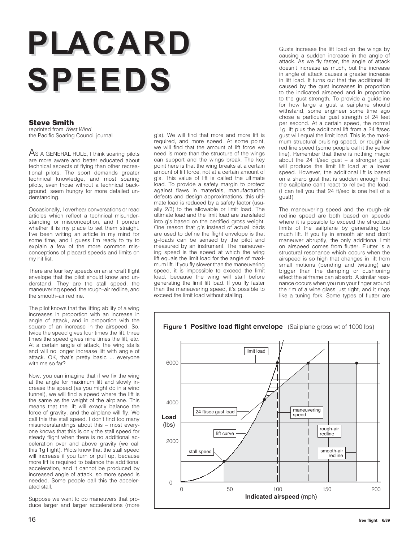# PLACARD SPEEDS

### **Steve Smith**

reprinted from West Wind the Pacific Soaring Council journal

AS A GENERAL RULE, I think soaring pilots are more aware and better educated about technical aspects of flying than other recreational pilots. The sport demands greater technical knowledge, and most soaring pilots, even those without a technical background, seem hungry for more detailed understanding.

Occasionally, I overhear conversations or read articles which reflect a technical misunderstanding or misconception, and I ponder whether it is my place to set them straight. I've been writing an article in my mind for some time, and I guess I'm ready to try to explain a few of the more common misconceptions of placard speeds and limits on my hit list.

There are four key speeds on an aircraft flight envelope that the pilot should know and understand. They are the stall speed, the maneuvering speed, the rough–air redline, and the smooth–air redline.

The pilot knows that the lifting ability of a wing increases in proportion with an increase in angle of attack, and in proportion with the square of an increase in the airspeed. So, twice the speed gives four times the lift, three times the speed gives nine times the lift, etc. At a certain angle of attack, the wing stalls and will no longer increase lift with angle of attack. OK, that's pretty basic ... everyone with me so far?

Now, you can imagine that if we fix the wing at the angle for maximum lift and slowly increase the speed (as you might do in a wind tunnel), we will find a speed where the lift is the same as the weight of the airplane. This means that the lift will exactly balance the force of gravity, and the airplane will fly. We call this the stall speed. I don't find too many misunderstandings about this – most everyone knows that this is only the stall speed for steady flight when there is no additional acceleration over and above gravity (we call this 1g flight). Pilots know that the stall speed will increase if you turn or pull up, because more lift is required to balance the additional acceleration, and it cannot be produced by increased angle of attack, so more speed is needed. Some people call this the accelerated stall.

Suppose we want to do maneuvers that produce larger and larger accelerations (more g's). We will find that more and more lift is required, and more speed. At some point, we will find that the amount of lift force we need is more than the structure of the wings can support and the wings break. The key point here is that the wing breaks at a certain amount of lift force, not at a certain amount of g's. This value of lift is called the ultimate load. To provide a safety margin to protect against flaws in materials, manufacturing defects and design approximations, this ultimate load is reduced by a safety factor (usually 2/3) to the allowable or limit load. The ultimate load and the limit load are translated into g's based on the certified gross weight. One reason that g's instead of actual loads are used to define the flight envelope is that g–loads can be sensed by the pilot and measured by an instrument. The maneuvering speed is the speed at which the wing lift equals the limit load for the angle of maximum lift. If you fly slower than the maneuvering speed, it is impossible to exceed the limit load, because the wing will stall before generating the limit lift load. If you fly faster than the maneuvering speed, it's possible to exceed the limit load without stalling.

Gusts increase the lift load on the wings by causing a sudden increase in the angle of attack. As we fly faster, the angle of attack doesn't increase as much, but the increase in angle of attack causes a greater increase in lift load. It turns out that the additional lift caused by the gust increases in proportion to the indicated airspeed and in proportion to the gust strength. To provide a guideline for how large a gust a sailplane should withstand, some engineer some time ago chose a particular gust strength of 24 feet per second. At a certain speed, the normal 1g lift plus the additional lift from a 24 ft/sec gust will equal the limit load. This is the maximum structural cruising speed, or rough–air red line speed (some people call it the yellow line). Remember that there is nothing magic about the 24 ft/sec gust – a stronger gust will produce the limit lift load at a lower speed. However, the additional lift is based on a sharp gust that is sudden enough that the sailplane can't react to relieve the load. (I can tell you that 24 ft/sec is one hell of a gust!)

The maneuvering speed and the rough–air redline speed are both based on speeds where it is possible to exceed the structural limits of the sailplane by generating too much lift. If you fly in smooth air and don't maneuver abruptly, the only additional limit on airspeed comes from flutter. Flutter is a structural resonance which occurs when the airspeed is so high that changes in lift from small motions (bending and twisting) are bigger than the damping or cushioning effect the airframe can absorb. A similar resonance occurs when you run your finger around the rim of a wine glass just right, and it rings like a tuning fork. Some types of flutter are

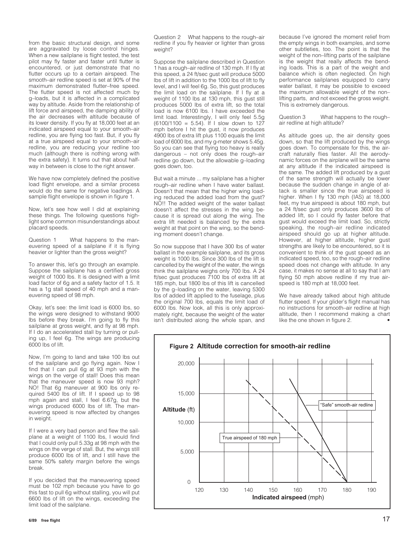from the basic structural design, and some are aggravated by loose control hinges. When a new sailplane is flight tested, the test pilot may fly faster and faster until flutter is encountered, or just demonstrate that no flutter occurs up to a certain airspeed. The smooth–air redline speed is set at 90% of the maximum demonstrated flutter–free speed. The flutter speed is not affected much by g–loads, but it is affected in a complicated way by altitude. Aside from the relationship of lift force and airspeed, the damping ability of the air decreases with altitude because of its lower density. If you fly at 18,000 feet at an indicated airspeed equal to your smooth–air redline, you are flying too fast. But, if you fly at a true airspeed equal to your smooth–air redline, you are reducing your redline too much (although there is nothing wrong with the extra safety). It turns out that about halfway in between is close to the right answer.

We have now completely defined the positive load flight envelope, and a similar process would do the same for negative loadings. A sample flight envelope is shown in figure 1.

Now, let's see how well I did at explaining these things. The following questions highlight some common misunderstandings about placard speeds.

Question 1 What happens to the maneuvering speed of a sailplane if it is flying heavier or lighter than the gross weight?

To answer this, let's go through an example. Suppose the sailplane has a certified gross weight of 1000 lbs. It is designed with a limit load factor of 6g and a safety factor of 1.5. It has a 1g stall speed of 40 mph and a maneuvering speed of 98 mph.

Okay, let's see: the limit load is 6000 lbs, so the wings were designed to withstand 9000 lbs before they break. I'm going to fly this sailplane at gross weight, and fly at 98 mph. If I do an accelerated stall by turning or pulling up, I feel 6g. The wings are producing 6000 lbs of lift.

Now, I'm going to land and take 100 lbs out of the sailplane and go flying again. Now I find that I can pull 6g at 93 mph with the wings on the verge of stall! Does this mean that the maneuver speed is now 93 mph? NO! That 6g maneuver at 900 lbs only required 5400 lbs of lift. If I speed up to 98 mph again and stall, I feel 6.67g, but the wings produced 6000 lbs of lift. The maneuvering speed is now affected by changes in weight.

If I were a very bad person and flew the sailplane at a weight of 1100 lbs, I would find that I could only pull 5.33g at 98 mph with the wings on the verge of stall. But, the wings still produce 6000 lbs of lift, and I still have the same 50% safety margin before the wings break.

If you decided that the maneuvering speed must be 102 mph because you have to go this fast to pull 6g without stalling, you will put 6600 lbs of lift on the wings, exceeding the limit load of the sailplane.

**6/89 free flight** 17

Question 2 What happens to the rough–air redline if you fly heavier or lighter than gross weight?

Suppose the sailplane described in Question 1 has a rough–air redline of 130 mph. If I fly at this speed, a 24 ft/sec gust will produce 5000 lbs of lift in addition to the 1000 lbs of lift to fly level, and I will feel 6g. So, this gust produces the limit load on the sailplane. If I fly at a weight of 1100 lbs at 130 mph, this gust still produces 5000 lbs of extra lift, so the total load is now 6100 lbs. I have exceeded the limit load. Interestingly, I will only feel 5.5g  $(6100/1100 = 5.54)$ . If I slow down to 127 mph before I hit the gust, it now produces 4900 lbs of extra lift plus 1100 equals the limit load of 6000 lbs, and my g-meter shows 5.45g. So you can see that flying too heavy is really dangerous – not only does the rough–air redline go down, but the allowable g–loading goes down, too.

But wait a minute ... my sailplane has a higher rough–air redline when I have water ballast. Doesn't that mean that the higher wing loading reduced the added load from the gust? NO!! The added weight of the water ballast doesn't affect the stresses in the wing because it is spread out along the wing. The extra lift needed is balanced by the extra weight at that point on the wing, so the bending moment doesn't change.

So now suppose that I have 300 lbs of water ballast in the example sailplane, and its gross weight is 1000 lbs. Since 300 lbs of the lift is cancelled by the weight of the water, the wings think the sailplane weighs only 700 lbs. A 24 ft/sec gust produces 7100 lbs of extra lift at 185 mph, but 1800 lbs of this lift is cancelled by the g–loading on the water, leaving 5300 lbs of added lift applied to the fuselage, plus the original 700 lbs, equals the limit load of 6000 lbs. Now look, all this is only approximately right, because the weight of the water isn't distributed along the whole span, and because I've ignored the moment relief from the empty wings in both examples, and some other subtleties, too. The point is that the weight of the non–lifting parts of the sailplane is the weight that really affects the bending loads. This is a part of the weight and balance which is often neglected. On high performance sailplanes equipped to carry water ballast, it may be possible to exceed the maximum allowable weight of the non– lifting parts, and not exceed the gross weight. This is extremely dangerous.

Question 3 What happens to the rough– air redline at high altitude?

As altitude goes up, the air density goes down, so that the lift produced by the wings goes down. To compensate for this, the aircraft naturally flies faster. All the aerodynamic forces on the airplane will be the same at any altitude if the indicated airspeed is the same. The added lift produced by a gust of the same strength will actually be lower because the sudden change in angle of attack is smaller since the true airspeed is higher. When I fly 130 mph (IAS) at 18,000 feet, my true airspeed is about 180 mph, but a 24 ft/sec gust only produces 3600 lbs of added lift, so I could fly faster before that gust would exceed the limit load. So, strictly speaking, the rough–air redline indicated airspeed should go up at higher altitude. However, at higher altitude, higher gust strengths are likely to be encountered, so it is convenient to think of the gust speed as an indicated speed, too, so the rough–air redline speed does not change with altitude. In any case, it makes no sense at all to say that I am flying 50 mph above redline if my true airspeed is 180 mph at 18,000 feet.

We have already talked about high altitude flutter speed. If your glider's flight manual has no instructions for smooth–air redline at high altitude, then I recommend making a chart like the one shown in figure 2.

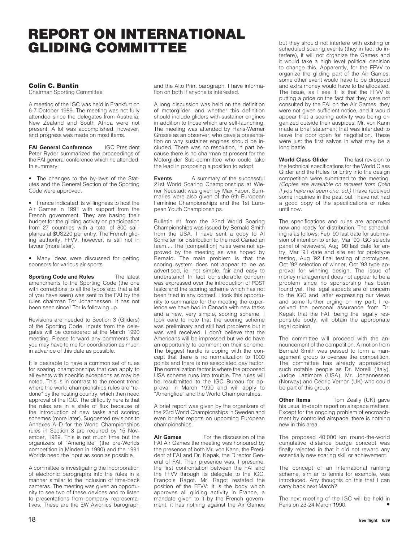### **REPORT ON INTERNATIONAL GLIDING COMMITTEE**

### **Colin C. Bantin**

Chairman Sporting Committee

A meeting of the IGC was held in Frankfurt on 6-7 October 1989. The meeting was not fully attended since the delegates from Australia, New Zealand and South Africa were not present. A lot was accomplished, however, and progress was made on most items.

**FAI General Conference** IGC President Peter Ryder summarized the proceedings of the FAI general conference which he attended. In summary:

• The changes to the by-laws of the Statutes and the General Section of the Sporting Code were approved.

• France indicated its willingness to host the Air Games in 1991 with support from the French government. They are basing their budget for the gliding activity on participation from 27 countries with a total of 300 sailplanes at \$US220 per entry. The French gliding authority, FFVV, however, is still not in favour (more later).

• Many ideas were discussed for getting sponsors for various air sports.

**Sporting Code and Rules** The latest amendments to the Sporting Code (the one with corrections to all the typos etc. that a lot of you have seen) was sent to the FAI by the rules chairman Tor Johannessen. It has not been seen since! Tor is following up.

Revisions are needed to Section 3 (Gliders) of the Sporting Code. Inputs from the delegates will be considered at the March 1990 meeting. Please forward any comments that you may have to me for coordination as much in advance of this date as possible.

It is desirable to have a common set of rules for soaring championships that can apply to all events with specific exceptions as may be noted. This is in contrast to the recent trend where the world championships rules are "redone" by the hosting country, which then need approval of the IGC. The difficulty here is that the rules are in a state of flux because of the introduction of new tasks and scoring schemes (more later). Suggested revisions to Annexes A–D for the World Championships rules in Section 3 are required by 15 November, 1989. This is not much time but the organizers of "Ameriglide" (the pre-Worlds competition in Minden in 1990) and the 1991 Worlds need the input as soon as possible.

A committee is investigating the incorporation of electronic barographs into the rules in a manner similar to the inclusion of time-back cameras. The meeting was given an opportunity to see two of these devices and to listen to presentations from company representatives. These are the EW Avionics barograph and the Alto Print barograph. I have information on both if anyone is interested.

A long discussion was held on the definition of motorglider, and whether this definition should include gliders with sustainer engines in addition to those which are self-launching. The meeting was attended by Hans-Werner Grosse as an observer, who gave a presentation on why sustainer engines should be included. There was no resolution, in part because there is no chairman at present for the Motorglider Sub-committee who could take the lead in proposing a position to adopt.

**Events** A summary of the successful 21st World Soaring Championships at Wiener Neustadt was given by Max Faber. Summaries were also given of the 6th European Feminine Championships and the 1st European Youth Championships.

Bulletin #1 from the 22nd World Soaring Championships was issued by Bernald Smith from the USA. I have sent a copy to Al Schreiter for distribution to the next Canadian team.... The [competition] rules were not approved by the meeting as was hoped by Bernald. The main problem is that the scoring system does not appear to be as advertised, ie. not simple, fair and easy to understand! In fact considerable concern was expressed over the introduction of POST tasks and the scoring scheme which has not been tried in any contest. I took this opportunity to summarize for the meeting the experience we have had in Canada with new tasks and a new, very simple, scoring scheme. I took care to note that the scoring scheme was preliminary and still had problems but it was well received. I don't believe that the Americans will be impressed but we do have an opportunity to comment on their scheme. The biggest hurdle is coping with the concept that there is no normalization to 1000 points and there is no associated day factor. The normalization factor is where the proposed USA scheme runs into trouble. The rules will be resubmitted to the IGC Bureau for approval in March 1990 and will apply to "Ameriglide" and the World Championships.

A brief report was given by the organizers of the 23rd World Championships in Sweden and even briefer reports on upcoming European championships.

**Air Games** For the discussion of the FAI Air Games the meeting was honoured by the presence of both Mr. von Kann, the President of FAI and Dr. Kepak, the Director General of FAI. Their presence was, I presume, the first confrontation between the FAI and the FFVV through its delegate to the IGC, François Ragot. Mr. Ragot restated the position of the FFVV: it is the body which approves all gliding activity in France, a mandate given to it by the French government, it has nothing against the Air Games but they should not interfere with existing or scheduled soaring events (they in fact do interfere), it will not organize the Games and it would take a high level political decision to change this. Apparently, for the FFVV to organize the gliding part of the Air Games, some other event would have to be dropped and extra money would have to be allocated. The issue, as I see it, is that the FFVV is putting a price on the fact that they were not consulted by the FAI on the Air Games, they were not given sufficient notice, and it would appear that a soaring activity was being organized outside their auspices. Mr. von Kann made a brief statement that was intended to leave the door open for negotiation. These were just the first salvos in what may be a long battle.

**World Class Glider** The last revision to the technical specifications for the World Class Glider and the Rules for Entry into the design competition were submitted to the meeting. (Copies are available on request from Colin if you have not seen one. ed.) I have received some inquiries in the past but I have not had a good copy of the specifications or rules until now.

The specifications and rules are approved now and ready for distribution. The scheduling is as follows: Feb '90 last date for submission of intention to enter, Mar '90 IGC selects panel of reviewers, Aug '90 last date for entry, Mar '91 date and site set for prototype testing, Aug '92 final testing of prototypes, Oct '92 selection of winner, Oct '93 type approval for winning design. The issue of money management does not appear to be a problem since no sponsorship has been found yet. The legal aspects are of concern to the IGC and, after expressing our views and some further urging on my part, I received the personal assurance from Dr. Kepak that the FAI, being the legally responsible body, will obtain the appropriate legal opinion.

The committee will proceed with the announcement of the competition. A motion from Bernald Smith was passed to form a management group to oversee the competition. The committee has already approached such notable people as Dr. Morelli (Italy), Judge Lattimore (USA), Mr. Johannessen (Norway) and Cedric Vernon (UK) who could be part of this group.

**Other Items Tom Zeally (UK) gave** his usual in-depth report on airspace matters. Except for the ongoing problem of encroachment by controlled airspace, there is nothing new in this area.

The proposed 40,000 km round-the-world cumulative distance badge concept was finally rejected in that it did not reward any essentially new soaring skill or achievement.

The concept of an international ranking scheme, similar to tennis for example, was introduced. Any thoughts on this that I can carry back next March?

The next meeting of the IGC will be held in Paris on 23-24 March 1990. •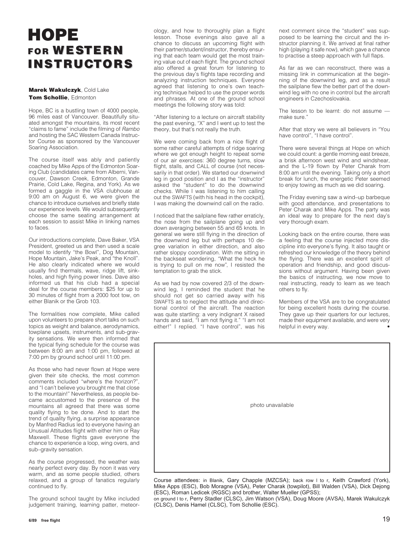### **HOPE FOR WESTERN INSTRUC INSTRUCTORS**

#### **Marek Wakulczyk**, Cold Lake **Tom Schollie**, Edmonton

Hope, BC is a bustling town of 4000 people, 96 miles east of Vancouver. Beautifully situated amongst the mountains, its most recent "claims to fame" include the filming of Rambo and hosting the SAC Western Canada Instructor Course as sponsored by the Vancouver Soaring Association.

The course itself was ably and patiently coached by Mike Apps of the Edmonton Soaring Club (candidates came from Alberni, Vancouver, Dawson Creek, Edmonton, Grande Prairie, Cold Lake, Regina, and York). As we formed a gaggle in the VSA clubhouse at 9:00 am on August 6, we were given the chance to introduce ourselves and briefly state our experience levels. We would subsequently choose the same seating arrangement at each session to assist Mike in linking names to faces.

Our introductions complete, Dave Baker, VSA President, greeted us and then used a scale model to identify "the Bowl", Dog Mountain, Hope Mountain, Jake's Peak, and "the Knoll". He also clearly indicated where we would usually find thermals, wave, ridge lift, sinkholes, and high flying power lines. Dave also informed us that his club had a special deal for the course members: \$25 for up to 30 minutes of flight from a 2000 foot tow, on either Blanik or the Grob 103.

The formalities now complete, Mike called upon volunteers to prepare short talks on such topics as weight and balance, aerodynamics, towplane upsets, instruments, and sub-gravity sensations. We were then informed that the typical flying schedule for the course was between 8:00 am and 1:00 pm, followed at 7:00 pm by ground school until 11:00 pm.

As those who had never flown at Hope were given their site checks, the most common comments included "where's the horizon?", and "I can't believe you brought me that close to the mountain!" Nevertheless, as people became accustomed to the presence of the mountains all agreed that there was some quality flying to be done. And to start the trend of quality flying, a surprise appearance by Manfred Radius led to everyone having an Unusual Attitudes flight with either him or Ray Maxwell. These flights gave everyone the chance to experience a loop, wing overs, and sub–gravity sensation.

As the course progressed, the weather was nearly perfect every day. By noon it was very warm, and as some people studied, others relaxed, and a group of fanatics regularly continued to fly.

The ground school taught by Mike included judgement training, learning patter, meteorology, and how to thoroughly plan a flight lesson. Those evenings also gave all a chance to discuss an upcoming flight with their partner/student/instructor, thereby ensuring that each team would get the most training value out of each flight. The ground school also offered a great forum for listening to the previous day's flights tape recording and analyzing instruction techniques. Everyone agreed that listening to one's own teaching technique helped to use the proper words and phrases. At one of the ground school meetings the following story was told:

"After listening to a lecture on aircraft stability the past evening, "X" and I went up to test the theory, but that's not really the truth.

We were coming back from a nice flight of some rather careful attempts of ridge soaring where we got enough height to repeat some of our air exercises: 360 degree turns, slow flight, stalls, and CALL of course (not necessarily in that order). We started our downwind leg in good position and I as the "instructor" asked the "student" to do the downwind checks. While I was listening to him calling out the SWAFTS (with his head in the cockpit), I was making the downwind call on the radio.

I noticed that the sailplane flew rather erraticly, the nose from the sailplane going up and down averaging between 55 and 65 knots. In general we were still flying in the direction of the downwind leg but with perhaps 10 degree variation in either direction, and also rather sloppy coordination. With me sitting in the backseat wondering, "What the heck he is trying to pull on me now", I resisted the temptation to grab the stick.

As we had by now covered 2/3 of the downwind leg, I reminded the student that he should not get so carried away with his SWAFTS as to neglect the attitude and directional control of the aircraft. The reaction was quite startling: a very indignant X raised hands and said, "I am not flying it." "I am not either!" I replied. "I have control", was his next comment since the "student" was supposed to be learning the circuit and the instructor planning it. We arrived at final rather high (playing it safe now), which gave a chance to practise a steep approach with full flaps.

As far as we can reconstruct, there was a missing link in communication at the beginning of the downwind leg, and as a result the sailplane flew the better part of the downwind leg with no one in control but the aircraft engineers in Czechoslovakia.

The lesson to be learnt: do not assume make sure."

After that story we were all believers in "You have control", "I have control".

There were several things at Hope on which we could count: a gentle morning east breeze, a brisk afternoon west wind and windshear, and the L-19 flown by Peter Charak from 8:00 am until the evening. Taking only a short break for lunch, the energetic Peter seemed to enjoy towing as much as we did soaring.

The Friday evening saw a wind–up barbeque with good attendance, and presentations to Peter Charak and Mike Apps. The party was an ideal way to prepare for the next day's very thorough exam.

Looking back on the entire course, there was a feeling that the course injected more discipline into everyone's flying. It also taught or refreshed our knowledge of the theory behind the flying. There was an excellent spirit of operation and friendship, and good discussions without argument. Having been given the basics of instructing, we now move to real instructing, ready to learn as we teach others to fly.

Members of the VSA are to be congratulated for being excellent hosts during the course. They gave up their quarters for our lectures, made their equipment available, and were very helpful in every way.



Course attendees: in Blanik, Gary Chapple (MZCSA); back row l to r, Keith Crawford (York), Mike Apps (ESC), Bob Moragne (VSA), Peter Charak (towpilot), Bill Walden (VSA), Dick Dejong (ESC), Roman Ledicek (RGSC) and brother, Walter Mueller (GPSS);

on ground l to r, Perry Stadler (CLSC), Jim Watson (VSA), Doug Moore (AVSA), Marek Wakulczyk (CLSC), Denis Hamel (CLSC), Tom Schollie (ESC).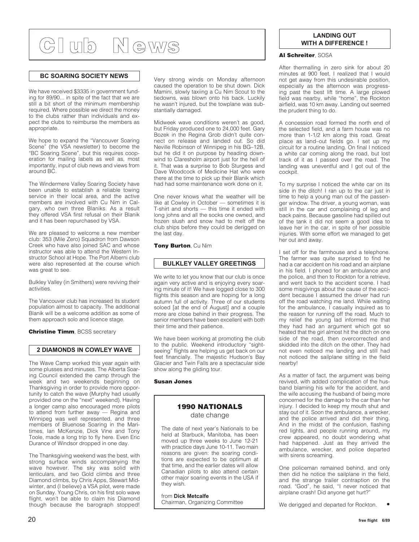### **Cl ub N ews**

### **BC SOARING SOCIETY NEWS**

We have received \$3335 in government funding for 89/90... in spite of the fact that we are still a bit short of the minimum membership required. Where possible we direct the money to the clubs rather than individuals and expect the clubs to reimburse the members as appropriate.

We hope to expand the "Vancouver Soaring Scene" (the VSA newsletter) to become the "BC Soaring Scene", but this requires cooperation for mailing labels as well as, most importantly, input of club news and views from around BC.

The Windermere Valley Soaring Society have been unable to establish a reliable towing service in their local area, and the active members are involved with Cu Nim in Calgary, who own three Blaniks. As a result they offered VSA first refusal on their Blanik and it has been repurchased by VSA.

We are pleased to welcome a new member club: 353 (Mile Zero) Squadron from Dawson Creek who have also joined SAC and whose instructor was able to attend the Western Instructor School at Hope. The Port Alberni club were also represented at the course which was great to see.

Bulkley Valley (in Smithers) were reviving their activities.

The Vancouver club has increased its student population almost to capacity. The additional Blanik will be a welcome addition as some of them approach solo and licence stage.

**Christine Timm, BCSS secretary** 

### **2 DIAMONDS IN COWLEY WAVE**

The Wave Camp worked this year again with some plusses and minuses. The Alberta Soaring Council extended the camp through the week and two weekends beginning on Thanksgiving in order to provide more opportunity to catch the wave (Murphy had usually provided one on the "next" weekend). Having a longer camp also encouraged more pilots to attend from further away — Regina and Winnipeg was well represented, and three members of Bluenose Soaring in the Maritimes, Ian McKenzie, Dick Vine and Tony Toole, made a long trip to fly here. Even Eric Durance of Windsor dropped in one day.

The Thanksgiving weekend was the best, with strong surface winds accompanying the wave however. The sky was solid with lenticulars, and two Gold climbs and three Diamond climbs, by Chris Apps, Stewart Midwinter, and (I believe) a VSA pilot, were made on Sunday. Young Chris, on his first solo wave flight, won't be able to claim his Diamond though because the barograph stopped!

Very strong winds on Monday afternoon caused the operation to be shut down. Dick Mamini, slowly taxiing a Cu Nim Scout to the tiedowns, was blown onto his back. Luckily he wasn't injured, but the towplane was substantially damaged.

Midweek wave conditions weren't as good, but Friday produced one to 24,000 feet. Gary Bozek in the Regina Grob didn't quite connect on release and landed out. So did Neville Robinson of Winnipeg in his BG–12B, but he did it on purpose by heading downwind to Claresholm airport just for the hell of it. That was a surprise to Bob Sturgess and Dave Woodcock of Medicine Hat who were there at the time to pick up their Blanik which had had some maintenance work done on it.

One never knows what the weather will be like at Cowley in October — sometimes it is T-shirt and shorts — this time it ended with long johns and all the socks one owned, and frozen slush and snow had to melt off the club ships before they could be derigged on the last day.

**Tony Burton**, Cu Nim

### **BULKLEY VALLEY GREETINGS**

We write to let you know that our club is once again very active and is enjoying every soaring minute of it! We have logged close to 300 flights this season and are hoping for a long autumn full of activity. Three of our students soloed [at the end of August] and a couple more are close behind in their progress. The senior members have been excellent with both their time and their patience.

We have been working at promoting the club to the public. Weekend introductory "sightseeing" flights are helping us get back on our feet financially. The majestic Hudson's Bay Glacier and Twin Falls are a spectacular side show along the gliding tour.

#### **Susan Jones**

### **1990 NATIONALS** date change

The date of next year's Nationals to be held at Starbuck, Manitoba, has been moved up three weeks to June 12-21 with practice days June 10-11. Two main reasons are given: the soaring conditions are expected to be optimum at that time, and the earlier dates will allow Canadian pilots to also attend certain other major soaring events in the USA if they wish.

from **Dick Metcalfe** Chairman, Organizing Committee

### **LANDING OUT WITH A DIFFERENCE !**

#### **Al Schreiter**, SOSA

After thermalling in zero sink for about 20 minutes at 900 feet, I realized that I would not get away from this undesirable position, especially as the afternoon was progressing past the best lift time. A large plowed field was nearby, while "home", the Rockton airfield, was 10 km away. Landing out seemed the prudent thing to do.

A concession road formed the north end of the selected field, and a farm house was no more than 1-1/2 km along this road. Great place as land–out fields go. I set up my circuit for a routine landing. On final I noticed a white car coming along the road, but lost track of it as I passed over the road. The landing was uneventful and I got out of the cockpit.

To my surprise I noticed the white car on its side in the ditch! I ran up to the car just in time to help a young man out of the passenger window. The driver, a young woman, was still in the car and complaining of leg and back pains. Because gasoline had spilled out of the tank it did not seem a good idea to leave her in the car, in spite of her possible injuries. With some effort we managed to get her out and away.

I set off for the farmhouse and a telephone. The farmer was quite surprised to find he had a car accident on his road and an airplane in his field. I phoned for an ambulance and the police, and then to Rockton for a retrieve, and went back to the accident scene. I had some misgivings about the cause of the accident because I assumed the driver had run off the road watching me land. While waiting for the ambulance. I casually inquired as to the reason for running off the road. Much to my relief the young lad informed me that they had had an argument which got so heated that the girl almost hit the ditch on one side of the road, then overcorrected and skidded into the ditch on the other. They had not even noticed me landing and still had not noticed the sailplane sitting in the field nearby!

As a matter of fact, the argument was being revived, with added complication of the husband blaming his wife for the accident, and the wife accusing the husband of being more concerned for the damage to the car than her injury. I decided to keep my mouth shut and stay out of it. Soon the ambulance, a wrecker, and the police arrived and did their thing. And in the midst of the confusion, flashing red lights, and people running around, my crew appeared, no doubt wondering what had happened. Just as they arrived the ambulance, wrecker, and police departed with sirens screaming.

One policeman remained behind, and only then did he notice the sailplane in the field, and the strange trailer contraption on the road. "God", he said, "I never noticed that airplane crash! Did anyone get hurt?"

We derigged and departed for Rockton.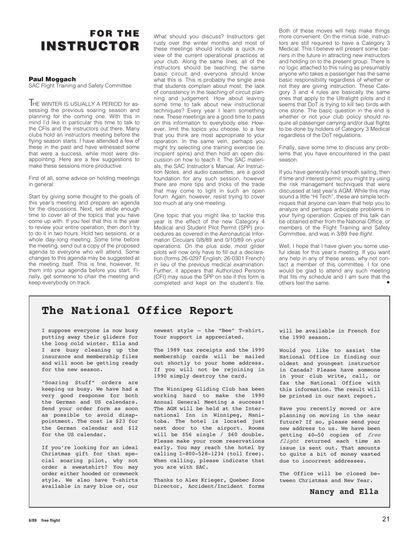### **FOR THE INSTRUCTOR INSTRUCTOR**

### **Paul Moggach**

SAC Flight Training and Safety Committee

THE WINTER IS USUALLY A PERIOD for assessing the previous soaring season and planning for the coming one. With this in mind I'd like in particular this time to talk to the CFIs and the instructors out there. Many clubs hold an instructors meeting before the flying season starts. I have attended a few of these in the past and have witnessed some that were a success, while most were disappointing. Here are a few suggestions to make these sessions more productive.

First of all, some advice on holding meetings in general:

Start by giving some thought to the goals of this year's meeting and prepare an agenda for the discussions. Next, set aside enough time to cover all of the topics that you have come up with. If you feel that this is the year to review your entire operation, then don't try to do it in two hours. Hold two sessions, or a whole day–long meeting. Some time before the meeting, send out a copy of the proposed agenda to everyone who will attend. Some changes to this agenda may be suggested at the meeting itself. This is fine, however, fit them into your agenda before you start. Finally, get someone to chair the meeting and keep everybody on track.

What should you discuss? Instructors get rusty over the winter months and most of these meetings should include a quick review of the current operational practices at your club. Along the same lines, all of the instructors should be teaching the same basic circuit and everyone should know what this is. This is probably the single area that students complain about most, the lack of consistency in the teaching of circuit planning and judgement. How about leaving some time to talk about new instructional techniques? Every year I learn something new. These meetings are a good time to pass on this information to everybody else. However, limit the topics you choose, to a few that you think are most appropriate to your operation. In the same vein, perhaps you might try selecting one training exercise (ie. incipient spins) and then hold an open discussion on how to teach it. The SAC materials, the SAC Instructor's Manual, Air Instruction Notes, and audio cassettes, are a good foundation for any such session, however there are more tips and tricks of the trade that may come to light in such an open forum. Again, however, resist trying to cover too much at any one meeting.

One topic that you might like to tackle this year is the effect of the new Category 4 Medical and Student Pilot Permit (SPP) procedures as covered in the Aeronautical Information Circulars 0/8/89 and 0/10/89 on your operations. On the plus side, most glider pilots will now only have to fill out a declaration (forms 26-0297 English; 26-0301 French) in lieu of the previous medical examination. Further, it appears that Authorized Persons (CFI) may issue the SPP on site if this form is completed and kept on the student's file.

Both of these moves will help make things more convenient. On the minus side, instructors are still required to have a Category 3 Medical. This I believe will present some barriers in the future in attracting new instructors and holding on to the present group. There is no logic attached to this ruling as presumably anyone who takes a passenger has the same basic responsibility regardless of whether or not they are giving instruction. These Category 3 and 4 rules are basically the same ones that apply to the Ultralight pilots and it seems that DoT is trying to kill two birds with one stone. The basic question in the end is whether or not your club policy should require all passenger carrying and/or dual flights to be done by holders of Category 3 Medical regardless of the DoT regulations.

Finally, save some time to discuss any problems that you have encountered in the past season.

If you have generally had smooth sailing, then if time and interest permit, you might try using the risk management techniques that were discussed at last year's AGM. While this may sound a little "Hi Tech", these are simple techniques that anyone can learn that help you to analyze and perhaps anticipate problems in your flying operation. Copies of this talk can be obtained either from the National Office, or members of the Flight Training and Safety Committee, and was in 3/89 free flight.

Well, I hope that I have given you some useful ideas for this year's meeting. If you want any help in any of these areas, why not contact a member of this committee. I for one would be glad to attend any such meeting that fits my schedule and I am sure that the others feel the same.

### **The National Office Report**

I suppose everyone is now busy putting away their gliders for the long cold winter. Ella and I are busy cleaning up the insurance and membership files and will soon be getting ready for the new season.

"Soaring Stuff" orders are keeping us busy. We have had a very good response for both the German and US calendars. Send your order form as soon as possible to avoid disappointment. The cost is \$23 for the German calendar and \$12 for the US calendar.

If you're looking for an ideal Christmas gift for that special soaring pilot, why not order a sweatshirt? You may order either hooded or crewneck style. We also have T-shirts available in navy blue or, our newest style – the "Bee" T-shirt. Your support is appreciated.

The 1989 tax receipts and the 1990 membership cards will be mailed out shortly to your home address. If you will not be rejoining in 1990 simply destroy the card.

The Winnipeg Gliding Club has been working hard to make the 1990 Annual General Meeting a success! The AGM will be held at the International Inn in Winnipeg, Manitoba. The hotel is located just next door to the airport. Rooms will be \$56 single / \$60 double. Please make your room reservations early. You may reach the hotel by calling 1-800-528-1234 (toll free). When calling, please indicate that you are with SAC.

Thanks to Alex Krieger, Quebec Zone Director, Accident/Incident forms

will be available in French for the 1990 season.

Would you like to assist the National Office in finding our oldest and youngest instructor in Canada? Please have someone in your club write, call, or fax the National Office with this information. The result will be printed in our next report.

Have you recently moved or are planning on moving in the near future? If so, please send your new address to us. We have been getting 40–50 copies of free flight returned each time an issue is sent out. That amounts to quite a bit of money wasted due to incorrest addresses.

The Office will be closed between Christmas and New Year.

**Nancy and Ella**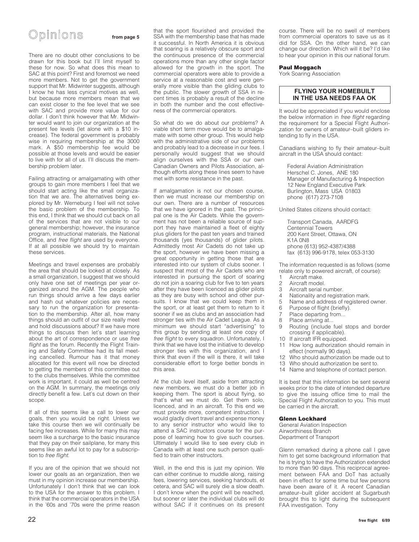### Opinions **from page 5**

There are no doubt other conclusions to be drawn for this book but I'll limit myself to these for now. So what does this mean to SAC at this point? First and foremost we need more members. Not to get the government support that Mr. Midwinter suggests, although I know he has less cynical motives as well, but because more members mean that we can exist closer to the fee level that we see with SAC and provide more value for our dollar. I don't think however that Mr. Midwinter would want to join our organization at the present fee levels (let alone with a \$10 increase). The federal government is probably wise in requiring membership at the 3000 mark. A \$50 membership fee would be possible at those levels and would be easier to live with for all of us. I'll discuss the membership problem later.

Failing attracting or amalgamating with other groups to gain more members I feel that we should start acting like the small organization that we are. The alternatives being explored by Mr. Werneburg I feel will not solve the basic problem of the membership. To this end, I think that we should cut back on all of the services that are not visible to our general membership; however, the insurance program, instructional materials, the National Office, and free flight are used by everyone. If at all possible we should try to maintain these services.

Meetings and travel expenses are probably the area that should be looked at closely. As a small organization, I suggest that we should only have one set of meetings per year organized around the AGM. The people who run things should arrive a few days earlier and hash out whatever policies are necessary to run the organization for presentation to the membership. After all, how many things should an outfit of our size really meet and hold discussions about? If we have more things to discuss then let's start learning about the art of correspondence or use free flight as the forum. Recently the Flight Training and Safety Committee had its fall meeting cancelled. Rumour has it that money allocated for this event will now be directed to getting the members of this committee out to the clubs themselves. While the committee work is important, it could as well be centred on the AGM. In summary, the meetings only directly benefit a few. Let's cut down on their scope.

If all of this seems like a call to lower our goals, then you would be right. Unless we take this course then we will continually be facing fee increases. While for many this may seem like a surcharge to the basic insurance that they pay on their sailplane, for many this seems like an awful lot to pay for a subscription to free flight.

If you are of the opinion that we should not lower our goals as an organization, then we must in my opinion increase our membership. Unfortunately I don't think that we can look to the USA for the answer to this problem. I think that the commercial operators in the USA in the '60s and '70s were the prime reason

that the sport flourished and provided the SSA with the membership base that has made it successful. In North America it is obvious that soaring is a relatively obscure sport and the continuous presence of the commercial operations more than any other single factor allowed for the growth in the sport. The commercial operators were able to provide a service at a reasonable cost and were generally more visible than the gliding clubs to the public. The slower growth of SSA in recent times is probably a result of the decline in both the number and the cost effectiveness of the commercial operators.

So what do we do about our problems? A viable short term move would be to amalgamate with some other group. This would help with the administrative side of our problems and probably lead to a decrease in our fees. I personally would suggest that we should align ourselves with the SSA or our own Canadian Owners and Pilots Association, although efforts along these lines seem to have met with some resistance in the past.

If amalgamation is not our chosen course, then we must increase our membership on our own. There are a number of resources that we have ignored in the past. The principal one is the Air Cadets. While the government has not been a reliable source of support they have maintained a fleet of eighty plus gliders for the past ten years and trained thousands (yes thousands) of glider pilots. Admittedly most Air Cadets do not take up the sport, however we have been missing a great opportunity in getting those that are interested into our system of clubs sooner. I suspect that most of the Air Cadets who are interested in pursuing the sport of soaring do not join a soaring club for five to ten years after they have been licenced as glider pilots as they are busy with school and other pursuits. I know that we could keep them in the sport, or at least get them to return to it sooner if we as clubs and an association had stronger ties with the Air Cadet League. As a minimum we should start "advertising" to this group by sending at least one copy of free flight to every squadron. Unfortunately, I think that we have lost the initiative to develop stronger ties with this organization, and I think that even if the will is there, it will take considerable effort to forge better bonds in this area.

At the club level itself, aside from attracting new members, we must do a better job in keeping them. The sport is about flying, so that's what we must do. Get them solo, licenced, and in an aircraft. To this end we must provide more, competent instruction. I would gladly divert travel and expense money to any senior instructor who would like to attend a SAC instructors course for the purpose of learning how to give such courses. Ultimately I would like to see every club in Canada with at least one such person qualified to train other instructors.

Well, in the end this is just my opinion. We can either continue to muddle along, raising fees, lowering services, seeking handouts, et cetera, and SAC will surely die a slow death. I don't know when the point will be reached, but sooner or later the individual clubs will do without SAC if it continues on its present course. There will be no swell of members from commercial operators to save us as it did for SSA. On the other hand, we can change our direction. Which will it be? I'd like to hear your opinion in this our national forum.

#### **Paul Moggach**

York Soaring Association

### **FLYING YOUR HOMEBUILT IN THE USA NEEDS FAA OK**

It would be appreciated if you would enclose the below information in free flight regarding the requirement for a Special Flight Authorization for owners of amateur–built gliders intending to fly in the USA.

Canadians wishing to fly their amateur–built aircraft in the USA should contact:

Federal Aviation Administration Herschel C. Jones, ANE 180 Manager of Manufacturing & Inspection 12 New England Executive Park Burlington, Mass USA 01803 phone (617) 273-7108

United States citizens should contact:

Transport Canada, AARDFG Centennial Towers 200 Kent Street, Ottawa, ON K1A 0N8 phone (613) 952-4387/4388 fax (613) 996-9178, telex 053-3130

The information requested is as follows (some relate only to powered aircraft, of course):

- 1 Aircraft make.
- 
- 2 Aircraft model.<br>3 Aircraft serial n Aircraft serial number.
- 
- 4 Nationality and registration mark.<br>5 Name and address of registered 5 Name and address of registered owner.<br>6 Purpose of flight (briefly)
- 
- 6 Purpose of flight (briefly).<br>7 Place departing from
- 7 Place departing from...<br>8 Place arriving at
- 8 Place arriving at...<br>9 Bouting (include Routing (include fuel stops and border
- crossing if applicable).
- 10 If aircraft IFR equipped.<br>11 How long authorization How long authorization should remain in
- effect (normally 90 days).
- 12 Who should authorization be made out to
- 13 Who should authorization be sent to.
- 14 Name and telephone of contact person.

It is best that this information be sent several weeks prior to the date of intended departure to give the issuing office time to mail the Special Flight Authorization to you. This must be carried in the aircraft.

#### **Glenn Lockhard**

General Aviation Inspection Airworthiness Branch Department of Transport

Glenn remarked during a phone call I gave him to get some background information that he is trying to have the Authorization extended to more than 90 days. This reciprocal agreement between FAA and DoT has actually been in effect for some time but few persons have been aware of it. A recent Canadian amateur–built glider accident at Sugarbush brought this to light during the subsequent FAA investigation. Tony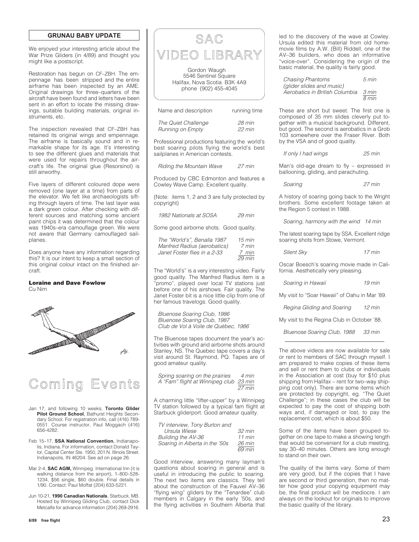#### **GRUNAU BABY UPDATE**

We enjoyed your interesting article about the War Prize Gliders (in 4/89) and thought you might like a postscript.

Restoration has begun on CF–ZBH. The empennage has been stripped and the entire airframe has been inspected by an AME. Original drawings for three–quarters of the aircraft have been found and letters have been sent in an effort to locate the missing drawings, suitable building materials, original instruments, etc.

The inspection revealed that CF–ZBH has retained its original wings and empennage. The airframe is basically sound and in remarkable shape for its age. It's interesting to see the different glues and materials that were used for repairs throughout the aircraft's life. The original glue (Resorsinol) is still airworthy.

Five layers of different coloured dope were removed (one layer at a time) from parts of the elevator. We felt like archaeologists sifting through layers of time. The last layer was a dark green colour. After checking with different sources and matching some ancient paint chips it was determined that the colour was 1940s–era camouflage green. We were not aware that Germany camouflaged sailplanes.

Does anyone have any information regarding this? It is our intent to keep a small section of this original colour intact on the finished aircraft.

#### **Loraine and Dave Fowlow** Cu Nim





### Coming Events

Jan 17, and following 10 weeks, **Toronto Glider Pilot Ground School**, Bathurst Heights Secondary School. For registration info, call (416) 789- 0551. Course instructor, Paul Moggach (416) 656-4282.

Feb 15–17, **SSA National Convention**, Indianapolis, Indiana. For information, contact Donald Taylor, Capital Center Ste. 1950, 201 N. Illinois Street. Indianapolis, IN 46204. See ad on page 26.

Mar 2-4, **SAC AGM,** Winnipeg. International Inn (it is walking distance from the airport), 1–800–528- 1234, \$56 single, \$60 double. Final details in 1/90. Contact: Paul Moffat (204) 633-5221.

Jun 10-21, **1990 Canadian Nationals**, Starbuck, MB. Hosted by Winnipeg Gliding Club, contact Dick Metcalfe for advance information (204) 269-2916.

5546 Sentinel Square Halifax, Nova Scotia B3K 4A9 phone (902) 455-4045

| Name and description | running time |  |  |
|----------------------|--------------|--|--|
| The Quiet Challenge  | 28 min       |  |  |
| Running on Empty     | $22$ min     |  |  |

Professional productions featuring the world's best soaring pilots flying the world's best sailplanes in American contests.

Riding the Mountain Wave 27 min

Produced by CBC Edmonton and features a Cowley Wave Camp. Excellent quality.

(Note: items 1, 2 and 3 are fully protected by copyright)

| 1982 Nationals at SOSA | $29$ min |
|------------------------|----------|
|------------------------|----------|

Some good airborne shots. Good quality.

| The "World's", Benalla 1987  | $15 \text{ min}$ |
|------------------------------|------------------|
| Manfred Radius (aerobatics)  | 7 min            |
| Janet Foster flies in a 2-33 | 7 min            |
|                              | $29$ min         |

The "World's" is a very interesting video. Fairly good quality. The Manfred Radius item is a "promo", played over local TV stations just before one of his airshows. Fair quality. The Janet Foster bit is a nice little clip from one of her famous travelogs. Good quality.

Bluenose Soaring Club, 1986 Bluenose Soaring Club, 1987 Club de Vol à Voile de Québec, 1986

The Bluenose tapes document the year's activities with ground and airborne shots around Stanley, NS. The Quebec tape covers a day's visit around St. Raymond, PQ. Tapes are of good amateur quality.

| Spring soaring on the prairies         | 4 min  |
|----------------------------------------|--------|
| A "Fam" flight at Winnipeg club 23 min |        |
|                                        | 27 min |

A charming little "lifter-upper" by a Winnipeg TV station followed by a typical fam flight at Starbuck gliderport. Good amateur quality.

| TV interview, Tony Burton and  |                  |
|--------------------------------|------------------|
| Ursula Wiese                   | $32 \text{ min}$ |
| Building the AV-36             | $11$ min         |
| Soaring in Alberta in the '50s | $26 \text{ min}$ |
|                                | 69 min           |

Good interview, answering many layman's questions about soaring in general and is useful in introducing the public to soaring. The next two items are classics. They tell about the construction of the Fauvel AV–36 "flying wing" gliders by the "Tenardee" club members in Calgary in the early '50s, and the flying activities in Southern Alberta that led to the discovery of the wave at Cowley. Ursula edited this material from old homemovie films by A.W. (Bill) Riddell, one of the AV–36 builders, who does an informative "voice-over". Considering the origin of the basic material, the quality is fairly good.

| Chasing Phantoms               | $5 \text{ min}$            |
|--------------------------------|----------------------------|
| (glider slides and music)      |                            |
| Aerobatics in British Columbia | 3 min                      |
|                                | $\overline{8 \text{ min}}$ |

These are short but sweet. The first one is composed of 35 mm slides cleverly put together with a musical background. Different, but good. The second is aerobatics in a Grob 103 somewhere over the Fraser River. Both by the VSA and of good quality.

If only I had wings 25 min

Man's old-age dream to fly – expressed in ballooning, gliding, and parachuting.

Soaring 27 min

A history of soaring going back to the Wright brothers. Some excellent footage taken at the Region 5 contest in 1988.

Soaring, harmony with the wind 14 min

The latest soaring tape by SSA. Excellent ridge soaring shots from Stowe, Vermont.

Silent Sky 17 min

Oscar Boesch's soaring movie made in California. Aesthetically very pleasing.

| Soaring in Hawaii | $19$ min |
|-------------------|----------|
|-------------------|----------|

My visit to "Soar Hawaii" of Oahu in Mar '89.

Regina Gliding and Soaring 12 min

My visit to the Regina Club in October '88.

Bluenose Soaring Club, 1988 33 min

The above videos are now available for sale or rent to members of SAC through myself. I am prepared to make copies of these items and sell or rent them to clubs or individuals in the Association at cost (buy for \$10 plus shipping from Halifax – rent for two–way shipping cost only). There are some items which are protected by copyright, eg. "The Quiet Challenge"; in these cases the club will be expected to pay the cost of shipping both ways and, if damaged or lost, to pay the replacement cost, which is about \$50.

Some of the items have been grouped together on one tape to make a showing length that would be convenient for a club meeting, say 30–40 minutes. Others are long enough to stand on their own.

The quality of the items vary. Some of them are very good, but if the copies that I have are second or third generation, then no matter how good your copying equipment may be, the final product will be mediocre. I am always on the lookout for originals to improve the basic quality of the library.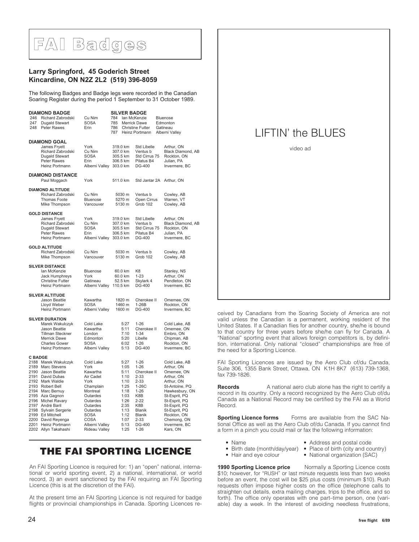### **FAI Badges**

### **Larry Springford, 45 Goderich Street Kincardine, ON N2Z 2L2 (519) 396-8059**

The following Badges and Badge legs were recorded in the Canadian Soaring Register during the period 1 September to 31 October 1989.

| 246<br>247<br>248              | <b>DIAMOND BADGE</b><br>Richard Zabrodski<br>Dugald Stewart<br>Peter Rawes                                                                                                                                                                                                                                           | Cu Nim<br><b>SOSA</b><br>Erin                                                                                                                                                                       | 784<br>785<br>786<br>787 | <b>SILVER BADGE</b><br>lan McKenzie<br>Merrick Dawe<br><b>Christine Futter</b><br>Heinz Portmann                     |                                                                                                                                                                           | <b>Bluenose</b><br>Edmonton<br>Gatineau<br>Alberni Valley                                                                                                                                                                                |  |
|--------------------------------|----------------------------------------------------------------------------------------------------------------------------------------------------------------------------------------------------------------------------------------------------------------------------------------------------------------------|-----------------------------------------------------------------------------------------------------------------------------------------------------------------------------------------------------|--------------------------|----------------------------------------------------------------------------------------------------------------------|---------------------------------------------------------------------------------------------------------------------------------------------------------------------------|------------------------------------------------------------------------------------------------------------------------------------------------------------------------------------------------------------------------------------------|--|
|                                | <b>DIAMOND GOAL</b><br>James Fryett<br>Richard Zabrodski<br>Dugald Stewart<br>Peter Rawes<br>Heinz Portmann                                                                                                                                                                                                          | York<br>Cu Nim<br><b>SOSA</b><br>Erin<br>Alberni Valley 303.0 km                                                                                                                                    |                          | 319.0 km<br>307.0 km<br>305.5 km<br>306.5 km                                                                         | <b>Std Libelle</b><br>Ventus b<br>Std Cirrus 75<br>Pilatus B4<br>DG-400                                                                                                   | Arthur, ON<br>Black Diamond, AB<br>Rockton, ON<br>Julian, PA<br>Invermere, BC                                                                                                                                                            |  |
|                                | <b>DIAMOND DISTANCE</b><br>Paul Moggach                                                                                                                                                                                                                                                                              | York                                                                                                                                                                                                |                          | 511.0 km                                                                                                             | Std Jantar 2A                                                                                                                                                             | Arthur, ON                                                                                                                                                                                                                               |  |
|                                | <b>DIAMOND ALTITUDE</b><br>Richard Zabrodski<br>Thomas Foote<br>Mike Thompson                                                                                                                                                                                                                                        | Cu Nim<br>Bluenose<br>Vancouver                                                                                                                                                                     |                          | 5030 m<br>5270 m<br>5130 m                                                                                           | Ventus b<br>Open Cirrus<br>Grob 102                                                                                                                                       | Cowley, AB<br>Warren, VT<br>Cowley, AB                                                                                                                                                                                                   |  |
|                                | <b>GOLD DISTANCE</b><br>James Fryett<br>Richard Zabrodski<br>Dugald Stewart<br><b>Peter Rawes</b><br>Heinz Portmann                                                                                                                                                                                                  | York<br>Cu Nim<br><b>SOSA</b><br>Erin<br>Alberni Valley                                                                                                                                             |                          | 319.0 km<br>307.0 km<br>305.5 km<br>306.5 km<br>303.0 km                                                             | <b>Std Libelle</b><br>Ventus b<br>Std Cirrus 75<br>Pilatus B4<br>DG-400                                                                                                   | Arthur, ON<br>Black Diamond, AB<br>Rockton, ON<br>Julian, PA<br>Invermere, BC                                                                                                                                                            |  |
|                                | <b>GOLD ALTITUDE</b><br>Richard Zabrodski<br>Mike Thompson                                                                                                                                                                                                                                                           | Cu Nim<br>Vancouver                                                                                                                                                                                 |                          | 5030 m<br>5130 m                                                                                                     | Ventus b<br>Grob 102                                                                                                                                                      | Cowley, AB<br>Cowley, AB                                                                                                                                                                                                                 |  |
|                                | <b>SILVER DISTANCE</b><br>lan McKenzie<br><b>Jack Humphreys</b><br><b>Christine Futter</b><br>Heinz Portmann                                                                                                                                                                                                         | Bluenose<br>York<br>Gatineau<br>Alberni Valley                                                                                                                                                      |                          | 60.0 km<br>60.0 km<br>52.5 km<br>110.5 km                                                                            | K <sub>8</sub><br>$1 - 23$<br>Skylark 4<br>DG-400                                                                                                                         | Stanley, NS<br>Arthur, ON<br>Pendleton, ON<br>Invermere, BC                                                                                                                                                                              |  |
|                                | <b>SILVER ALTITUDE</b><br>Jason Beattie<br>Lloyd Weber<br>Heinz Portmann                                                                                                                                                                                                                                             | Kawartha<br><b>SOSA</b><br>Alberni Valley                                                                                                                                                           |                          | 1820 m<br>1460 m<br>1600 m                                                                                           | Cherokee II<br>$1-26B$<br>DG-400                                                                                                                                          | Omemee, ON<br>Rockton, ON<br>Invermere, BC                                                                                                                                                                                               |  |
|                                | <b>SILVER DURATION</b><br>Marek Wakulczyk<br>Jason Beattie<br><b>Tillman Steckner</b><br><b>Merrick Dawe</b><br><b>Charles Gower</b><br>Heinz Portmann                                                                                                                                                               | Cold Lake<br>Kawartha<br>London<br>Edmonton<br>SOSA<br>Alberni Valley                                                                                                                               |                          | 5:27<br>5:11<br>7:10<br>5:20<br>6:02<br>5:13                                                                         | $1 - 26$<br>Cherokee II<br>$1 - 34$<br>Libelle<br>$1 - 26$<br>DG-400                                                                                                      | Cold Lake, AB<br>Omemee, ON<br>Embro, ON<br>Chipman, AB<br>Rockton, ON<br>Invermere, BC                                                                                                                                                  |  |
| <b>C BADGE</b><br>2194<br>2197 | 2188 Marek Wakulczyk<br>2189 Marc Stevens<br>2190 Jason Beattie<br>2191 David Dubas<br>2192 Mark Waldie<br>2193 Robert Bell<br>Marc Bernuy<br>2195 Aza Gagnon<br>2196 Michel Ravary<br>André Baril<br>2198 Sylvain Sergerie<br>2199 Ed Mitchell<br>2200 David Reyenga<br>2201 Heinz Portmann<br>2202 Allyn Takahashi | Cold Lake<br>York<br>Kawartha<br>Air Cadet<br>York<br>Champlain<br>Montreal<br>Outardes<br>Outardes<br>Outardes<br>Outardes<br><b>SOSA</b><br><b>COSA</b><br>Alberni Valley<br><b>Rideau Valley</b> |                          | 5:27<br>1:05<br>5:11<br>1:10<br>1:10<br>1:25<br>1:18<br>1:03<br>1:26<br>2:35<br>1:13<br>1:12<br>1:07<br>5:13<br>1:25 | $1 - 26$<br>$1 - 26$<br>Cherokee II<br>$2 - 33$<br>$2 - 33$<br>$1-26C$<br>$1 - 26$<br>K8B<br>$2 - 22$<br>K8B<br>Blanik<br>Blanik<br>$2 - 33$<br><b>DG-400</b><br>$1 - 26$ | Cold Lake, AB<br>Arthur, ON<br>Omemee, ON<br>Arthur, ON<br>Arthur, ON<br>St-Antoine, PQ<br>Hawkesbury, ON<br>St-Esprit, PQ<br>St-Esprit, PQ<br>St-Esprit, PQ<br>St-Esprit, PQ<br>Rockton, ON<br>Chemong, ON<br>Invermere, BC<br>Kars, ON |  |

### **THE FAI SPORTING LICENCE**

An FAI Sporting Licence is required for: 1) an "open" national, international or world sporting event, 2) a national, international, or world record, 3) an event sanctioned by the FAI requiring an FAI Sporting Licence (this is at the discretion of the FAI).

At the present time an FAI Sporting Licence is not required for badge flights or provincial championships in Canada. Sporting Licences re-

### LIFTIN' the BLUES

video ad

ceived by Canadians from the Soaring Society of America are not valid unless the Canadian is a permanent, working resident of the United States. If a Canadian flies for another country, she/he is bound to that country for three years before she/he can fly for Canada. A "National" sporting event that allows foreign competitors is, by definition, international. Only national "closed" championships are free of the need for a Sporting Licence.

FAI Sporting Licences are issued by the Aero Club of/du Canada, Suite 306, 1355 Bank Street, Ottawa, ON K1H 8K7 (613) 739-1368, fax 739-1826.

**Records** A national aero club alone has the right to certify a record in its country. Only a record recognized by the Aero Club of/du Canada as a National Record may be certified by the FAI as a World Record.

**Sporting Licence forms** Forms are available from the SAC National Office as well as the Aero Club of/du Canada. If you cannot find a form in a pinch you could mail or fax the following information:

- 
- Name Address and postal code<br>• Birth date (month/day/year) Place of birth (city and co
- 
- National organization (SAC)
- 
- Birth date (month/day/year) Place of birth (city and country) Hair and eye colour National organization (SAC)
	-

**1990 Sporting Licence price** Normally a Sporting Licence costs \$10; however, for "RUSH" or last minute requests less than two weeks before an event, the cost will be \$25 plus costs (minimum \$10). Rush requests often impose higher costs on the office (telephone calls to straighten out details, extra mailing charges, trips to the office, and so forth). The office only operates with one part–time person, one (variable) day a week. In the interest of avoiding needless frustrations,